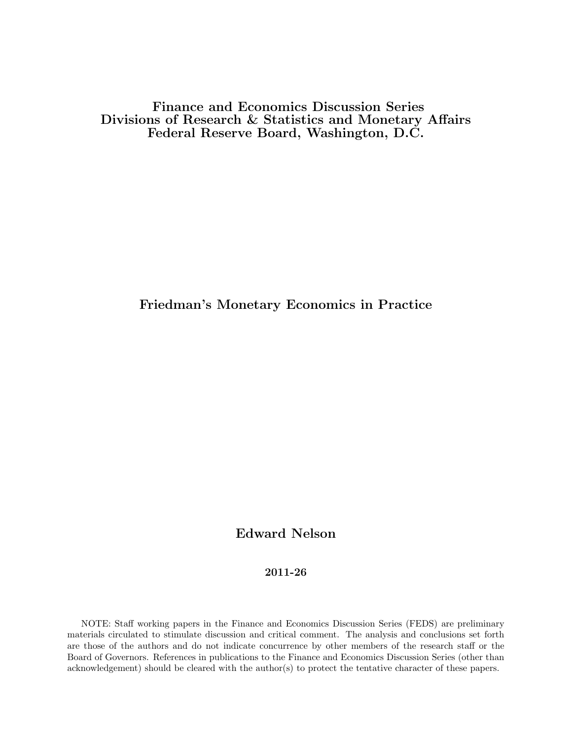Finance and Economics Discussion Series Divisions of Research & Statistics and Monetary Affairs Federal Reserve Board, Washington, D.C.

# Friedman's Monetary Economics in Practice

# Edward Nelson

#### 2011-26

NOTE: Staff working papers in the Finance and Economics Discussion Series (FEDS) are preliminary materials circulated to stimulate discussion and critical comment. The analysis and conclusions set forth are those of the authors and do not indicate concurrence by other members of the research staff or the Board of Governors. References in publications to the Finance and Economics Discussion Series (other than acknowledgement) should be cleared with the author(s) to protect the tentative character of these papers.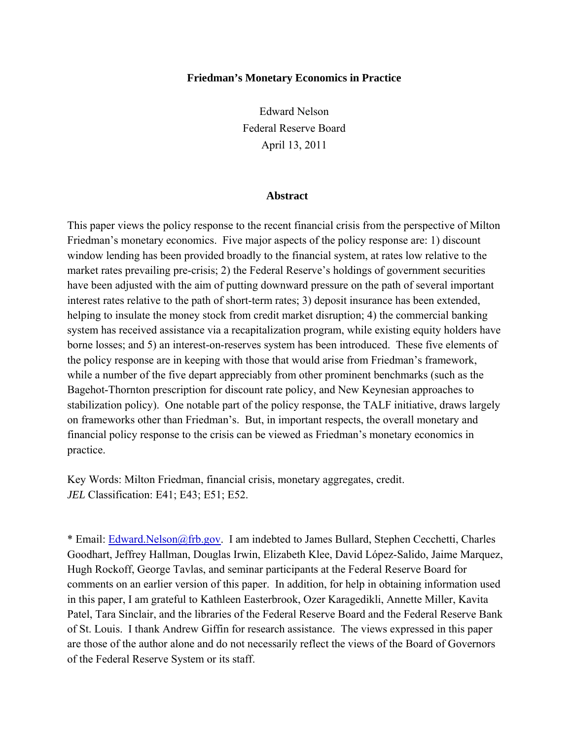#### **Friedman's Monetary Economics in Practice**

Edward Nelson Federal Reserve Board April 13, 2011

#### **Abstract**

This paper views the policy response to the recent financial crisis from the perspective of Milton Friedman's monetary economics. Five major aspects of the policy response are: 1) discount window lending has been provided broadly to the financial system, at rates low relative to the market rates prevailing pre-crisis; 2) the Federal Reserve's holdings of government securities have been adjusted with the aim of putting downward pressure on the path of several important interest rates relative to the path of short-term rates; 3) deposit insurance has been extended, helping to insulate the money stock from credit market disruption; 4) the commercial banking system has received assistance via a recapitalization program, while existing equity holders have borne losses; and 5) an interest-on-reserves system has been introduced. These five elements of the policy response are in keeping with those that would arise from Friedman's framework, while a number of the five depart appreciably from other prominent benchmarks (such as the Bagehot-Thornton prescription for discount rate policy, and New Keynesian approaches to stabilization policy). One notable part of the policy response, the TALF initiative, draws largely on frameworks other than Friedman's. But, in important respects, the overall monetary and financial policy response to the crisis can be viewed as Friedman's monetary economics in practice.

Key Words: Milton Friedman, financial crisis, monetary aggregates, credit. *JEL* Classification: E41; E43; E51; E52.

\* Email: Edward.Nelson@frb.gov. I am indebted to James Bullard, Stephen Cecchetti, Charles Goodhart, Jeffrey Hallman, Douglas Irwin, Elizabeth Klee, David López-Salido, Jaime Marquez, Hugh Rockoff, George Tavlas, and seminar participants at the Federal Reserve Board for comments on an earlier version of this paper. In addition, for help in obtaining information used in this paper, I am grateful to Kathleen Easterbrook, Ozer Karagedikli, Annette Miller, Kavita Patel, Tara Sinclair, and the libraries of the Federal Reserve Board and the Federal Reserve Bank of St. Louis. I thank Andrew Giffin for research assistance. The views expressed in this paper are those of the author alone and do not necessarily reflect the views of the Board of Governors of the Federal Reserve System or its staff.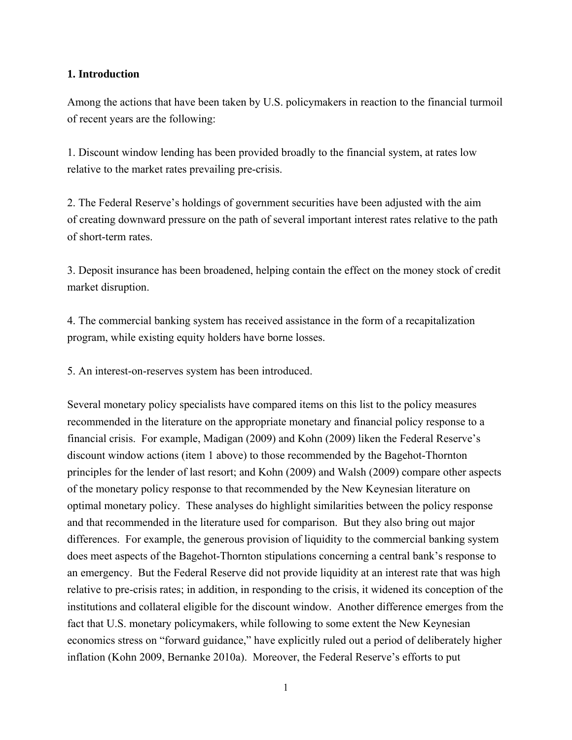# **1. Introduction**

Among the actions that have been taken by U.S. policymakers in reaction to the financial turmoil of recent years are the following:

1. Discount window lending has been provided broadly to the financial system, at rates low relative to the market rates prevailing pre-crisis.

2. The Federal Reserve's holdings of government securities have been adjusted with the aim of creating downward pressure on the path of several important interest rates relative to the path of short-term rates.

3. Deposit insurance has been broadened, helping contain the effect on the money stock of credit market disruption.

4. The commercial banking system has received assistance in the form of a recapitalization program, while existing equity holders have borne losses.

5. An interest-on-reserves system has been introduced.

Several monetary policy specialists have compared items on this list to the policy measures recommended in the literature on the appropriate monetary and financial policy response to a financial crisis. For example, Madigan (2009) and Kohn (2009) liken the Federal Reserve's discount window actions (item 1 above) to those recommended by the Bagehot-Thornton principles for the lender of last resort; and Kohn (2009) and Walsh (2009) compare other aspects of the monetary policy response to that recommended by the New Keynesian literature on optimal monetary policy. These analyses do highlight similarities between the policy response and that recommended in the literature used for comparison. But they also bring out major differences. For example, the generous provision of liquidity to the commercial banking system does meet aspects of the Bagehot-Thornton stipulations concerning a central bank's response to an emergency. But the Federal Reserve did not provide liquidity at an interest rate that was high relative to pre-crisis rates; in addition, in responding to the crisis, it widened its conception of the institutions and collateral eligible for the discount window. Another difference emerges from the fact that U.S. monetary policymakers, while following to some extent the New Keynesian economics stress on "forward guidance," have explicitly ruled out a period of deliberately higher inflation (Kohn 2009, Bernanke 2010a). Moreover, the Federal Reserve's efforts to put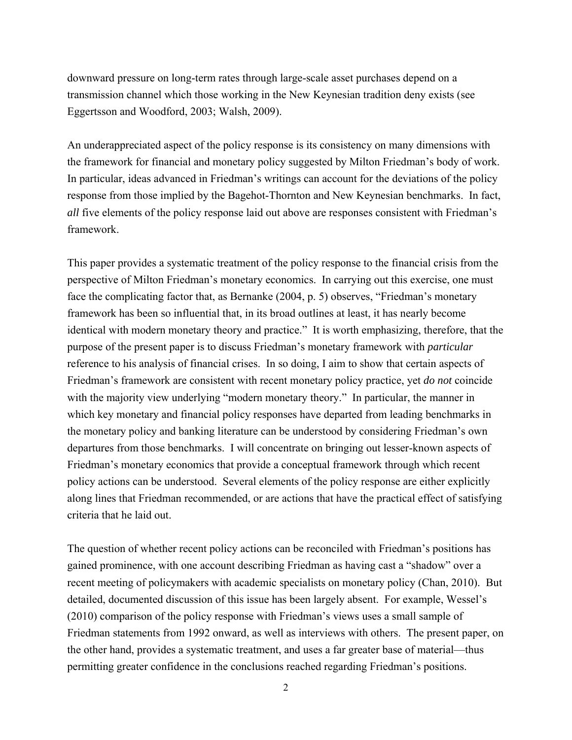downward pressure on long-term rates through large-scale asset purchases depend on a transmission channel which those working in the New Keynesian tradition deny exists (see Eggertsson and Woodford, 2003; Walsh, 2009).

An underappreciated aspect of the policy response is its consistency on many dimensions with the framework for financial and monetary policy suggested by Milton Friedman's body of work. In particular, ideas advanced in Friedman's writings can account for the deviations of the policy response from those implied by the Bagehot-Thornton and New Keynesian benchmarks. In fact, *all* five elements of the policy response laid out above are responses consistent with Friedman's framework.

This paper provides a systematic treatment of the policy response to the financial crisis from the perspective of Milton Friedman's monetary economics. In carrying out this exercise, one must face the complicating factor that, as Bernanke (2004, p. 5) observes, "Friedman's monetary framework has been so influential that, in its broad outlines at least, it has nearly become identical with modern monetary theory and practice." It is worth emphasizing, therefore, that the purpose of the present paper is to discuss Friedman's monetary framework with *particular* reference to his analysis of financial crises. In so doing, I aim to show that certain aspects of Friedman's framework are consistent with recent monetary policy practice, yet *do not* coincide with the majority view underlying "modern monetary theory." In particular, the manner in which key monetary and financial policy responses have departed from leading benchmarks in the monetary policy and banking literature can be understood by considering Friedman's own departures from those benchmarks. I will concentrate on bringing out lesser-known aspects of Friedman's monetary economics that provide a conceptual framework through which recent policy actions can be understood. Several elements of the policy response are either explicitly along lines that Friedman recommended, or are actions that have the practical effect of satisfying criteria that he laid out.

The question of whether recent policy actions can be reconciled with Friedman's positions has gained prominence, with one account describing Friedman as having cast a "shadow" over a recent meeting of policymakers with academic specialists on monetary policy (Chan, 2010). But detailed, documented discussion of this issue has been largely absent. For example, Wessel's (2010) comparison of the policy response with Friedman's views uses a small sample of Friedman statements from 1992 onward, as well as interviews with others. The present paper, on the other hand, provides a systematic treatment, and uses a far greater base of material—thus permitting greater confidence in the conclusions reached regarding Friedman's positions.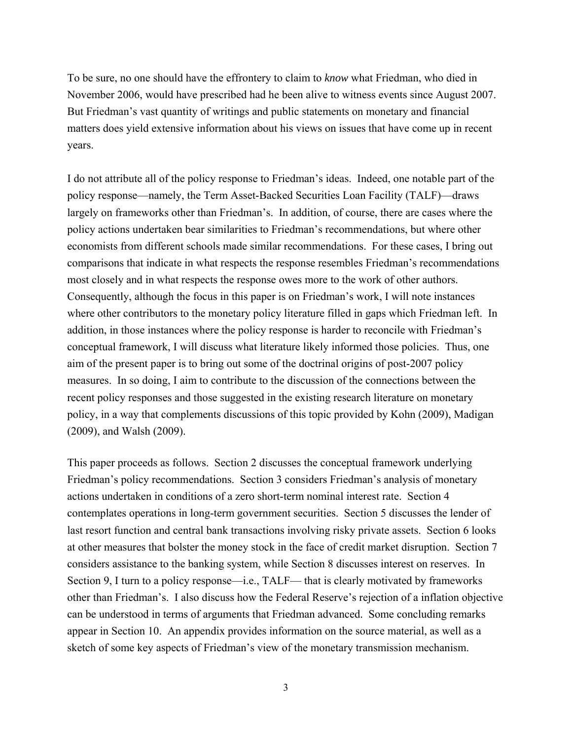To be sure, no one should have the effrontery to claim to *know* what Friedman, who died in November 2006, would have prescribed had he been alive to witness events since August 2007. But Friedman's vast quantity of writings and public statements on monetary and financial matters does yield extensive information about his views on issues that have come up in recent years.

I do not attribute all of the policy response to Friedman's ideas. Indeed, one notable part of the policy response—namely, the Term Asset-Backed Securities Loan Facility (TALF)—draws largely on frameworks other than Friedman's. In addition, of course, there are cases where the policy actions undertaken bear similarities to Friedman's recommendations, but where other economists from different schools made similar recommendations. For these cases, I bring out comparisons that indicate in what respects the response resembles Friedman's recommendations most closely and in what respects the response owes more to the work of other authors. Consequently, although the focus in this paper is on Friedman's work, I will note instances where other contributors to the monetary policy literature filled in gaps which Friedman left. In addition, in those instances where the policy response is harder to reconcile with Friedman's conceptual framework, I will discuss what literature likely informed those policies. Thus, one aim of the present paper is to bring out some of the doctrinal origins of post-2007 policy measures. In so doing, I aim to contribute to the discussion of the connections between the recent policy responses and those suggested in the existing research literature on monetary policy, in a way that complements discussions of this topic provided by Kohn (2009), Madigan (2009), and Walsh (2009).

This paper proceeds as follows. Section 2 discusses the conceptual framework underlying Friedman's policy recommendations. Section 3 considers Friedman's analysis of monetary actions undertaken in conditions of a zero short-term nominal interest rate. Section 4 contemplates operations in long-term government securities. Section 5 discusses the lender of last resort function and central bank transactions involving risky private assets. Section 6 looks at other measures that bolster the money stock in the face of credit market disruption. Section 7 considers assistance to the banking system, while Section 8 discusses interest on reserves. In Section 9, I turn to a policy response—i.e., TALF— that is clearly motivated by frameworks other than Friedman's. I also discuss how the Federal Reserve's rejection of a inflation objective can be understood in terms of arguments that Friedman advanced. Some concluding remarks appear in Section 10. An appendix provides information on the source material, as well as a sketch of some key aspects of Friedman's view of the monetary transmission mechanism.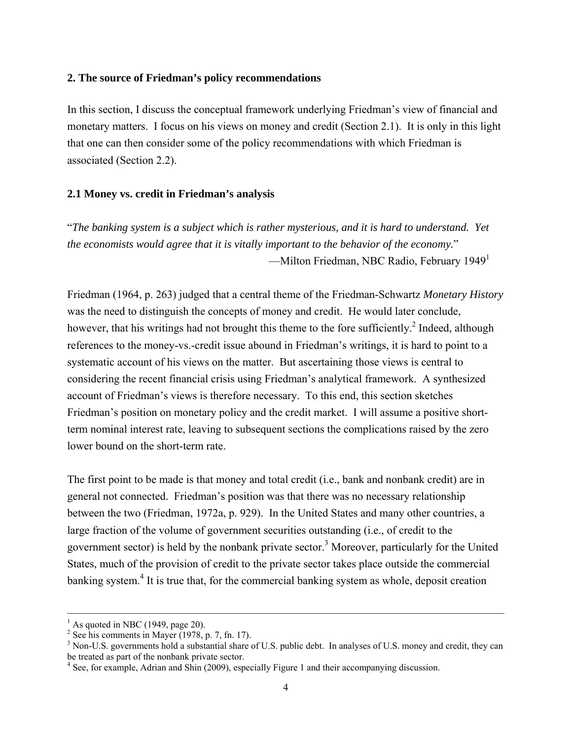#### **2. The source of Friedman's policy recommendations**

In this section, I discuss the conceptual framework underlying Friedman's view of financial and monetary matters. I focus on his views on money and credit (Section 2.1). It is only in this light that one can then consider some of the policy recommendations with which Friedman is associated (Section 2.2).

# **2.1 Money vs. credit in Friedman's analysis**

"*The banking system is a subject which is rather mysterious, and it is hard to understand. Yet the economists would agree that it is vitally important to the behavior of the economy.*" —Milton Friedman, NBC Radio, February 1949<sup>1</sup>

Friedman (1964, p. 263) judged that a central theme of the Friedman-Schwartz *Monetary History* was the need to distinguish the concepts of money and credit. He would later conclude, however, that his writings had not brought this theme to the fore sufficiently.<sup>2</sup> Indeed, although references to the money-vs.-credit issue abound in Friedman's writings, it is hard to point to a systematic account of his views on the matter. But ascertaining those views is central to considering the recent financial crisis using Friedman's analytical framework. A synthesized account of Friedman's views is therefore necessary. To this end, this section sketches Friedman's position on monetary policy and the credit market. I will assume a positive shortterm nominal interest rate, leaving to subsequent sections the complications raised by the zero lower bound on the short-term rate.

The first point to be made is that money and total credit (i.e., bank and nonbank credit) are in general not connected. Friedman's position was that there was no necessary relationship between the two (Friedman, 1972a, p. 929). In the United States and many other countries, a large fraction of the volume of government securities outstanding (i.e., of credit to the government sector) is held by the nonbank private sector.<sup>3</sup> Moreover, particularly for the United States, much of the provision of credit to the private sector takes place outside the commercial banking system.<sup>4</sup> It is true that, for the commercial banking system as whole, deposit creation

 $<sup>1</sup>$  As quoted in NBC (1949, page 20).</sup>

 $2^2$  See his comments in Mayer (1978, p. 7, fn. 17).

<sup>&</sup>lt;sup>3</sup> Non-U.S. governments hold a substantial share of U.S. public debt. In analyses of U.S. money and credit, they can be treated as part of the nonbank private sector.

<sup>&</sup>lt;sup>4</sup> See, for example, Adrian and Shin (2009), especially Figure 1 and their accompanying discussion.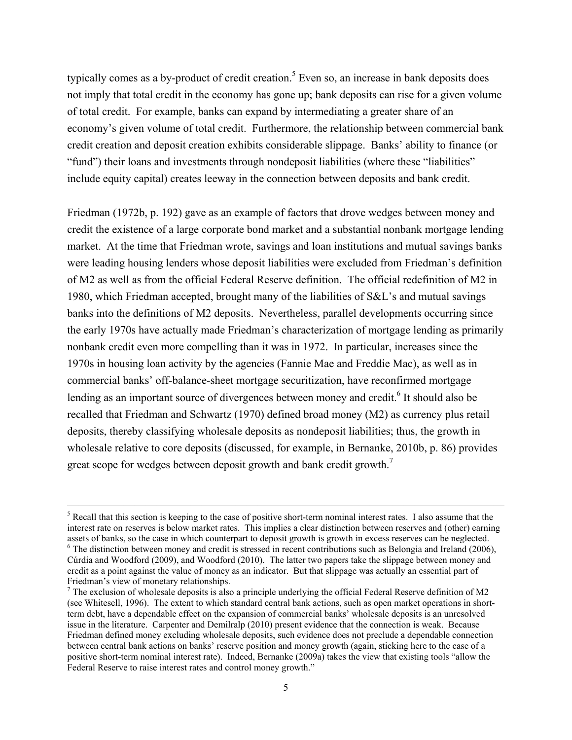typically comes as a by-product of credit creation.<sup>5</sup> Even so, an increase in bank deposits does not imply that total credit in the economy has gone up; bank deposits can rise for a given volume of total credit. For example, banks can expand by intermediating a greater share of an economy's given volume of total credit. Furthermore, the relationship between commercial bank credit creation and deposit creation exhibits considerable slippage. Banks' ability to finance (or "fund") their loans and investments through nondeposit liabilities (where these "liabilities" include equity capital) creates leeway in the connection between deposits and bank credit.

Friedman (1972b, p. 192) gave as an example of factors that drove wedges between money and credit the existence of a large corporate bond market and a substantial nonbank mortgage lending market. At the time that Friedman wrote, savings and loan institutions and mutual savings banks were leading housing lenders whose deposit liabilities were excluded from Friedman's definition of M2 as well as from the official Federal Reserve definition. The official redefinition of M2 in 1980, which Friedman accepted, brought many of the liabilities of S&L's and mutual savings banks into the definitions of M2 deposits. Nevertheless, parallel developments occurring since the early 1970s have actually made Friedman's characterization of mortgage lending as primarily nonbank credit even more compelling than it was in 1972. In particular, increases since the 1970s in housing loan activity by the agencies (Fannie Mae and Freddie Mac), as well as in commercial banks' off-balance-sheet mortgage securitization, have reconfirmed mortgage lending as an important source of divergences between money and credit.<sup>6</sup> It should also be recalled that Friedman and Schwartz (1970) defined broad money (M2) as currency plus retail deposits, thereby classifying wholesale deposits as nondeposit liabilities; thus, the growth in wholesale relative to core deposits (discussed, for example, in Bernanke, 2010b, p. 86) provides great scope for wedges between deposit growth and bank credit growth.<sup>7</sup>

 $<sup>5</sup>$  Recall that this section is keeping to the case of positive short-term nominal interest rates. I also assume that the</sup> interest rate on reserves is below market rates. This implies a clear distinction between reserves and (other) earning assets of banks, so the case in which counterpart to deposit growth is growth in excess reserves can be neglected. 6  $6$  The distinction between money and credit is stressed in recent contributions such as Belongia and Ireland (2006), Cúrdia and Woodford (2009), and Woodford (2010). The latter two papers take the slippage between money and credit as a point against the value of money as an indicator. But that slippage was actually an essential part of Friedman's view of monetary relationships.

 $<sup>7</sup>$  The exclusion of wholesale deposits is also a principle underlying the official Federal Reserve definition of M2</sup> (see Whitesell, 1996). The extent to which standard central bank actions, such as open market operations in shortterm debt, have a dependable effect on the expansion of commercial banks' wholesale deposits is an unresolved issue in the literature. Carpenter and Demilralp (2010) present evidence that the connection is weak. Because Friedman defined money excluding wholesale deposits, such evidence does not preclude a dependable connection between central bank actions on banks' reserve position and money growth (again, sticking here to the case of a positive short-term nominal interest rate). Indeed, Bernanke (2009a) takes the view that existing tools "allow the Federal Reserve to raise interest rates and control money growth."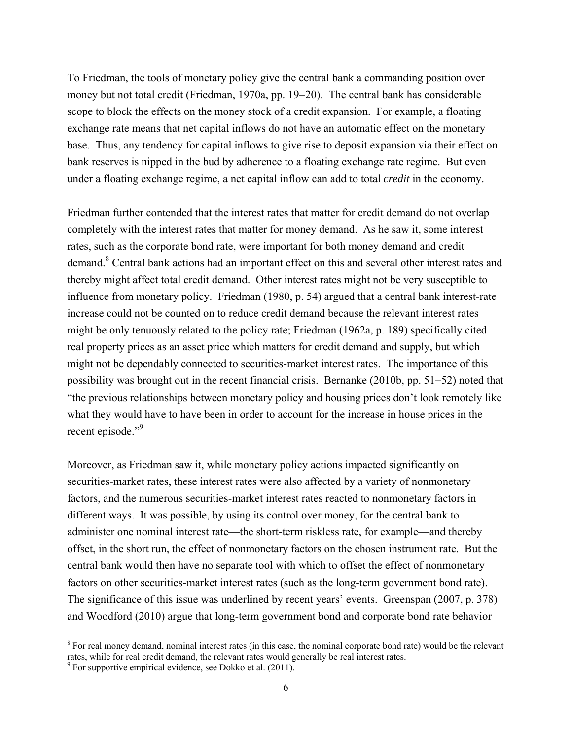To Friedman, the tools of monetary policy give the central bank a commanding position over money but not total credit (Friedman, 1970a, pp. 19–20). The central bank has considerable scope to block the effects on the money stock of a credit expansion. For example, a floating exchange rate means that net capital inflows do not have an automatic effect on the monetary base. Thus, any tendency for capital inflows to give rise to deposit expansion via their effect on bank reserves is nipped in the bud by adherence to a floating exchange rate regime. But even under a floating exchange regime, a net capital inflow can add to total *credit* in the economy.

Friedman further contended that the interest rates that matter for credit demand do not overlap completely with the interest rates that matter for money demand. As he saw it, some interest rates, such as the corporate bond rate, were important for both money demand and credit demand.<sup>8</sup> Central bank actions had an important effect on this and several other interest rates and thereby might affect total credit demand. Other interest rates might not be very susceptible to influence from monetary policy. Friedman (1980, p. 54) argued that a central bank interest-rate increase could not be counted on to reduce credit demand because the relevant interest rates might be only tenuously related to the policy rate; Friedman (1962a, p. 189) specifically cited real property prices as an asset price which matters for credit demand and supply, but which might not be dependably connected to securities-market interest rates. The importance of this possibility was brought out in the recent financial crisis. Bernanke  $(2010b, pp. 51-52)$  noted that "the previous relationships between monetary policy and housing prices don't look remotely like what they would have to have been in order to account for the increase in house prices in the recent episode."<sup>9</sup>

Moreover, as Friedman saw it, while monetary policy actions impacted significantly on securities-market rates, these interest rates were also affected by a variety of nonmonetary factors, and the numerous securities-market interest rates reacted to nonmonetary factors in different ways. It was possible, by using its control over money, for the central bank to administer one nominal interest rate—the short-term riskless rate, for example—and thereby offset, in the short run, the effect of nonmonetary factors on the chosen instrument rate. But the central bank would then have no separate tool with which to offset the effect of nonmonetary factors on other securities-market interest rates (such as the long-term government bond rate). The significance of this issue was underlined by recent years' events. Greenspan (2007, p. 378) and Woodford (2010) argue that long-term government bond and corporate bond rate behavior

<sup>———————————————————————————————————————</sup>   $8$  For real money demand, nominal interest rates (in this case, the nominal corporate bond rate) would be the relevant rates, while for real credit demand, the relevant rates would generally be real interest rates.

 $9^9$  For supportive empirical evidence, see Dokko et al. (2011).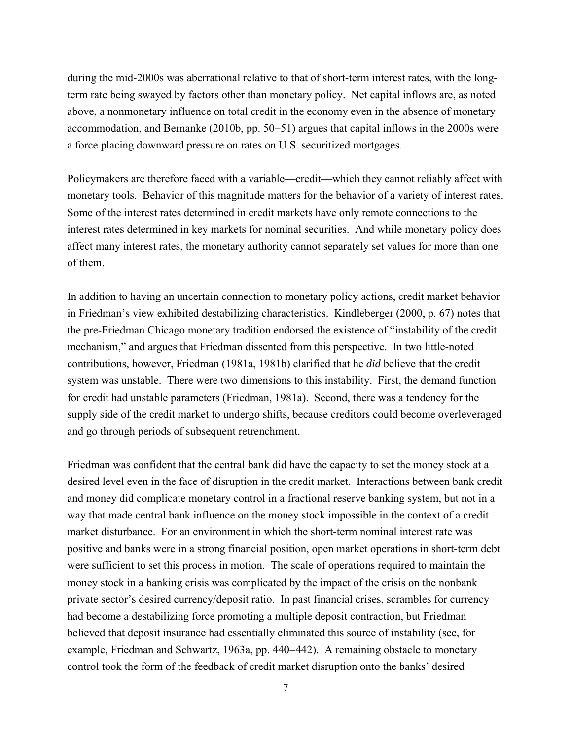during the mid-2000s was aberrational relative to that of short-term interest rates, with the longterm rate being swayed by factors other than monetary policy. Net capital inflows are, as noted above, a nonmonetary influence on total credit in the economy even in the absence of monetary accommodation, and Bernanke  $(2010b, pp. 50–51)$  argues that capital inflows in the 2000s were a force placing downward pressure on rates on U.S. securitized mortgages.

Policymakers are therefore faced with a variable—credit—which they cannot reliably affect with monetary tools. Behavior of this magnitude matters for the behavior of a variety of interest rates. Some of the interest rates determined in credit markets have only remote connections to the interest rates determined in key markets for nominal securities. And while monetary policy does affect many interest rates, the monetary authority cannot separately set values for more than one of them.

In addition to having an uncertain connection to monetary policy actions, credit market behavior in Friedman's view exhibited destabilizing characteristics. Kindleberger (2000, p. 67) notes that the pre-Friedman Chicago monetary tradition endorsed the existence of "instability of the credit mechanism," and argues that Friedman dissented from this perspective. In two little-noted contributions, however, Friedman (1981a, 1981b) clarified that he *did* believe that the credit system was unstable. There were two dimensions to this instability. First, the demand function for credit had unstable parameters (Friedman, 1981a). Second, there was a tendency for the supply side of the credit market to undergo shifts, because creditors could become overleveraged and go through periods of subsequent retrenchment.

Friedman was confident that the central bank did have the capacity to set the money stock at a desired level even in the face of disruption in the credit market. Interactions between bank credit and money did complicate monetary control in a fractional reserve banking system, but not in a way that made central bank influence on the money stock impossible in the context of a credit market disturbance. For an environment in which the short-term nominal interest rate was positive and banks were in a strong financial position, open market operations in short-term debt were sufficient to set this process in motion. The scale of operations required to maintain the money stock in a banking crisis was complicated by the impact of the crisis on the nonbank private sector's desired currency/deposit ratio. In past financial crises, scrambles for currency had become a destabilizing force promoting a multiple deposit contraction, but Friedman believed that deposit insurance had essentially eliminated this source of instability (see, for example, Friedman and Schwartz, 1963a, pp. 440–442). A remaining obstacle to monetary control took the form of the feedback of credit market disruption onto the banks' desired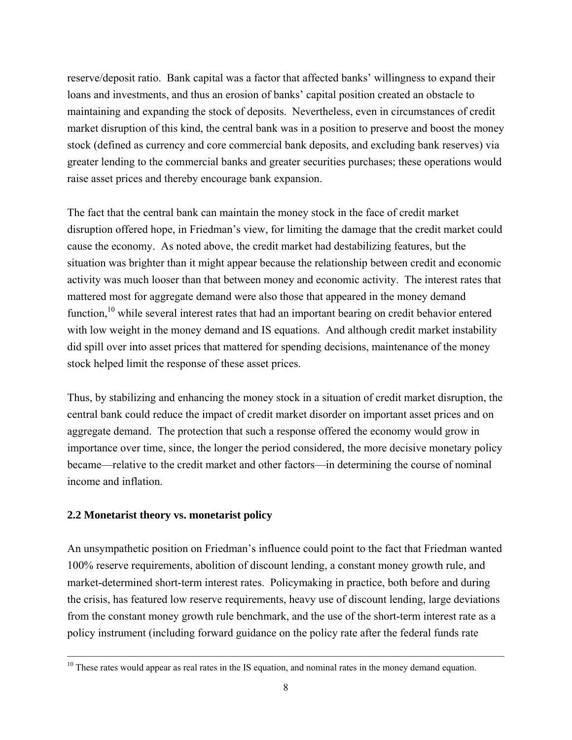reserve/deposit ratio. Bank capital was a factor that affected banks' willingness to expand their loans and investments, and thus an erosion of banks' capital position created an obstacle to maintaining and expanding the stock of deposits. Nevertheless, even in circumstances of credit market disruption of this kind, the central bank was in a position to preserve and boost the money stock (defined as currency and core commercial bank deposits, and excluding bank reserves) via greater lending to the commercial banks and greater securities purchases; these operations would raise asset prices and thereby encourage bank expansion.

The fact that the central bank can maintain the money stock in the face of credit market disruption offered hope, in Friedman's view, for limiting the damage that the credit market could cause the economy. As noted above, the credit market had destabilizing features, but the situation was brighter than it might appear because the relationship between credit and economic activity was much looser than that between money and economic activity. The interest rates that mattered most for aggregate demand were also those that appeared in the money demand function, $10$  while several interest rates that had an important bearing on credit behavior entered with low weight in the money demand and IS equations. And although credit market instability did spill over into asset prices that mattered for spending decisions, maintenance of the money stock helped limit the response of these asset prices.

Thus, by stabilizing and enhancing the money stock in a situation of credit market disruption, the central bank could reduce the impact of credit market disorder on important asset prices and on aggregate demand. The protection that such a response offered the economy would grow in importance over time, since, the longer the period considered, the more decisive monetary policy became—relative to the credit market and other factors—in determining the course of nominal income and inflation.

# **2.2 Monetarist theory vs. monetarist policy**

An unsympathetic position on Friedman's influence could point to the fact that Friedman wanted 100% reserve requirements, abolition of discount lending, a constant money growth rule, and market-determined short-term interest rates. Policymaking in practice, both before and during the crisis, has featured low reserve requirements, heavy use of discount lending, large deviations from the constant money growth rule benchmark, and the use of the short-term interest rate as a policy instrument (including forward guidance on the policy rate after the federal funds rate

<sup>&</sup>lt;sup>10</sup> These rates would appear as real rates in the IS equation, and nominal rates in the money demand equation.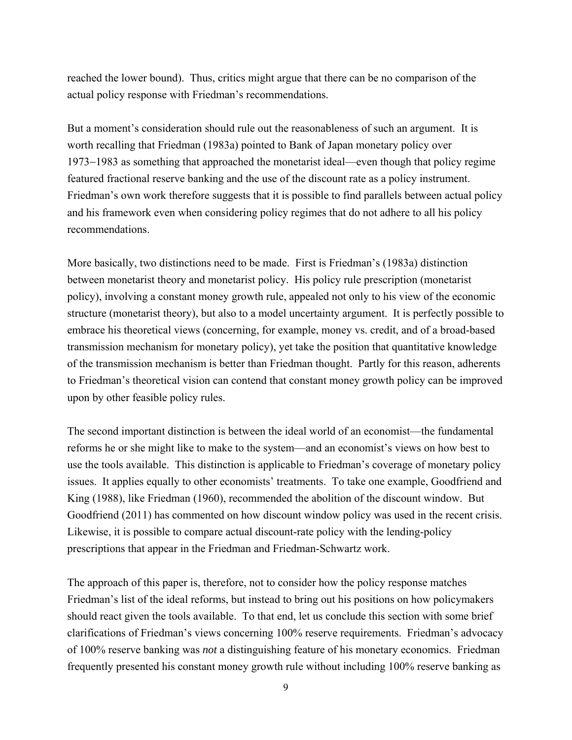reached the lower bound). Thus, critics might argue that there can be no comparison of the actual policy response with Friedman's recommendations.

But a moment's consideration should rule out the reasonableness of such an argument. It is worth recalling that Friedman (1983a) pointed to Bank of Japan monetary policy over 1973–1983 as something that approached the monetarist ideal—even though that policy regime featured fractional reserve banking and the use of the discount rate as a policy instrument. Friedman's own work therefore suggests that it is possible to find parallels between actual policy and his framework even when considering policy regimes that do not adhere to all his policy recommendations.

More basically, two distinctions need to be made. First is Friedman's (1983a) distinction between monetarist theory and monetarist policy. His policy rule prescription (monetarist policy), involving a constant money growth rule, appealed not only to his view of the economic structure (monetarist theory), but also to a model uncertainty argument. It is perfectly possible to embrace his theoretical views (concerning, for example, money vs. credit, and of a broad-based transmission mechanism for monetary policy), yet take the position that quantitative knowledge of the transmission mechanism is better than Friedman thought. Partly for this reason, adherents to Friedman's theoretical vision can contend that constant money growth policy can be improved upon by other feasible policy rules.

The second important distinction is between the ideal world of an economist—the fundamental reforms he or she might like to make to the system—and an economist's views on how best to use the tools available. This distinction is applicable to Friedman's coverage of monetary policy issues. It applies equally to other economists' treatments. To take one example, Goodfriend and King (1988), like Friedman (1960), recommended the abolition of the discount window. But Goodfriend (2011) has commented on how discount window policy was used in the recent crisis. Likewise, it is possible to compare actual discount-rate policy with the lending-policy prescriptions that appear in the Friedman and Friedman-Schwartz work.

The approach of this paper is, therefore, not to consider how the policy response matches Friedman's list of the ideal reforms, but instead to bring out his positions on how policymakers should react given the tools available. To that end, let us conclude this section with some brief clarifications of Friedman's views concerning 100% reserve requirements. Friedman's advocacy of 100% reserve banking was *not* a distinguishing feature of his monetary economics. Friedman frequently presented his constant money growth rule without including 100% reserve banking as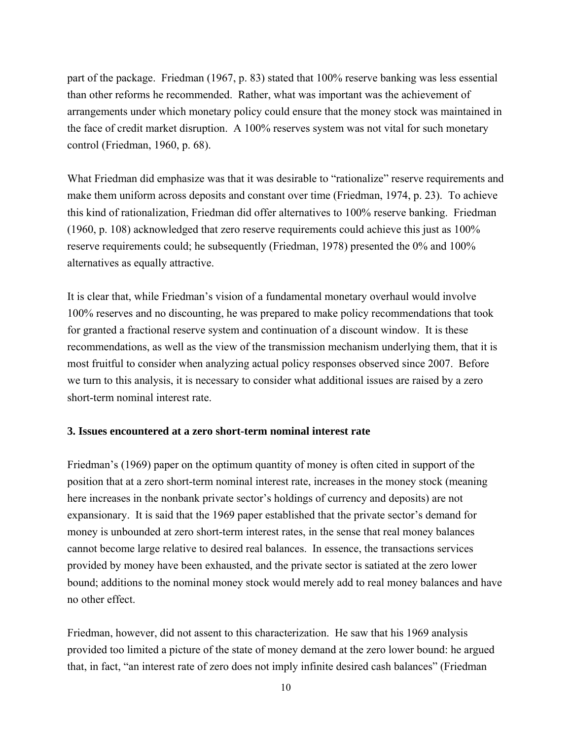part of the package. Friedman (1967, p. 83) stated that 100% reserve banking was less essential than other reforms he recommended. Rather, what was important was the achievement of arrangements under which monetary policy could ensure that the money stock was maintained in the face of credit market disruption. A 100% reserves system was not vital for such monetary control (Friedman, 1960, p. 68).

What Friedman did emphasize was that it was desirable to "rationalize" reserve requirements and make them uniform across deposits and constant over time (Friedman, 1974, p. 23). To achieve this kind of rationalization, Friedman did offer alternatives to 100% reserve banking. Friedman (1960, p. 108) acknowledged that zero reserve requirements could achieve this just as 100% reserve requirements could; he subsequently (Friedman, 1978) presented the 0% and 100% alternatives as equally attractive.

It is clear that, while Friedman's vision of a fundamental monetary overhaul would involve 100% reserves and no discounting, he was prepared to make policy recommendations that took for granted a fractional reserve system and continuation of a discount window. It is these recommendations, as well as the view of the transmission mechanism underlying them, that it is most fruitful to consider when analyzing actual policy responses observed since 2007. Before we turn to this analysis, it is necessary to consider what additional issues are raised by a zero short-term nominal interest rate.

# **3. Issues encountered at a zero short-term nominal interest rate**

Friedman's (1969) paper on the optimum quantity of money is often cited in support of the position that at a zero short-term nominal interest rate, increases in the money stock (meaning here increases in the nonbank private sector's holdings of currency and deposits) are not expansionary. It is said that the 1969 paper established that the private sector's demand for money is unbounded at zero short-term interest rates, in the sense that real money balances cannot become large relative to desired real balances. In essence, the transactions services provided by money have been exhausted, and the private sector is satiated at the zero lower bound; additions to the nominal money stock would merely add to real money balances and have no other effect.

Friedman, however, did not assent to this characterization. He saw that his 1969 analysis provided too limited a picture of the state of money demand at the zero lower bound: he argued that, in fact, "an interest rate of zero does not imply infinite desired cash balances" (Friedman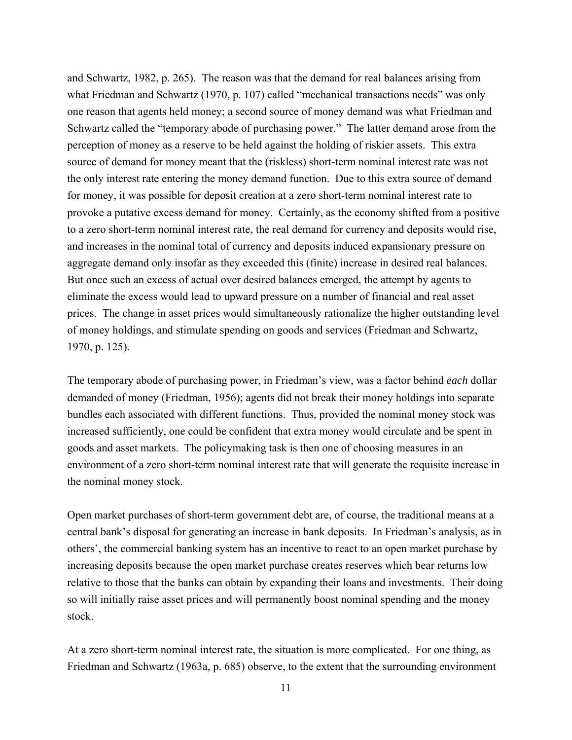and Schwartz, 1982, p. 265). The reason was that the demand for real balances arising from what Friedman and Schwartz (1970, p. 107) called "mechanical transactions needs" was only one reason that agents held money; a second source of money demand was what Friedman and Schwartz called the "temporary abode of purchasing power." The latter demand arose from the perception of money as a reserve to be held against the holding of riskier assets. This extra source of demand for money meant that the (riskless) short-term nominal interest rate was not the only interest rate entering the money demand function. Due to this extra source of demand for money, it was possible for deposit creation at a zero short-term nominal interest rate to provoke a putative excess demand for money. Certainly, as the economy shifted from a positive to a zero short-term nominal interest rate, the real demand for currency and deposits would rise, and increases in the nominal total of currency and deposits induced expansionary pressure on aggregate demand only insofar as they exceeded this (finite) increase in desired real balances. But once such an excess of actual over desired balances emerged, the attempt by agents to eliminate the excess would lead to upward pressure on a number of financial and real asset prices. The change in asset prices would simultaneously rationalize the higher outstanding level of money holdings, and stimulate spending on goods and services (Friedman and Schwartz, 1970, p. 125).

The temporary abode of purchasing power, in Friedman's view, was a factor behind *each* dollar demanded of money (Friedman, 1956); agents did not break their money holdings into separate bundles each associated with different functions. Thus, provided the nominal money stock was increased sufficiently, one could be confident that extra money would circulate and be spent in goods and asset markets. The policymaking task is then one of choosing measures in an environment of a zero short-term nominal interest rate that will generate the requisite increase in the nominal money stock.

Open market purchases of short-term government debt are, of course, the traditional means at a central bank's disposal for generating an increase in bank deposits. In Friedman's analysis, as in others', the commercial banking system has an incentive to react to an open market purchase by increasing deposits because the open market purchase creates reserves which bear returns low relative to those that the banks can obtain by expanding their loans and investments. Their doing so will initially raise asset prices and will permanently boost nominal spending and the money stock.

At a zero short-term nominal interest rate, the situation is more complicated. For one thing, as Friedman and Schwartz (1963a, p. 685) observe, to the extent that the surrounding environment

11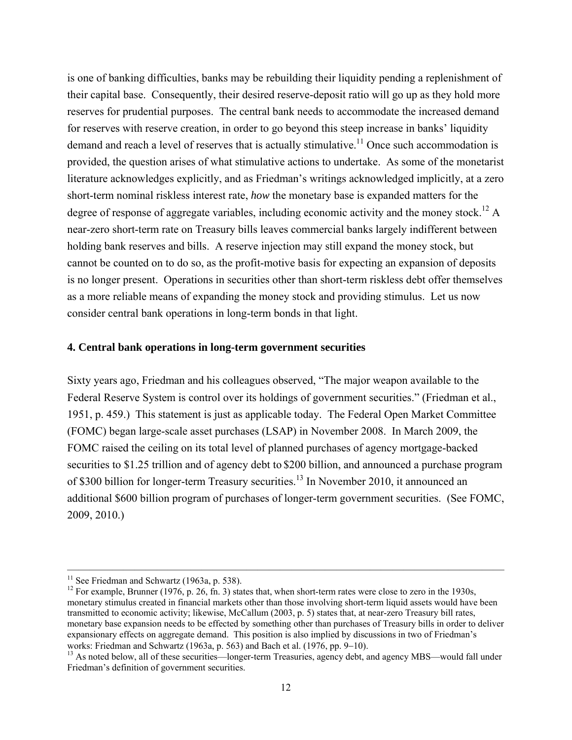is one of banking difficulties, banks may be rebuilding their liquidity pending a replenishment of their capital base. Consequently, their desired reserve-deposit ratio will go up as they hold more reserves for prudential purposes. The central bank needs to accommodate the increased demand for reserves with reserve creation, in order to go beyond this steep increase in banks' liquidity demand and reach a level of reserves that is actually stimulative.<sup>11</sup> Once such accommodation is provided, the question arises of what stimulative actions to undertake. As some of the monetarist literature acknowledges explicitly, and as Friedman's writings acknowledged implicitly, at a zero short-term nominal riskless interest rate, *how* the monetary base is expanded matters for the degree of response of aggregate variables, including economic activity and the money stock.<sup>12</sup> A near-zero short-term rate on Treasury bills leaves commercial banks largely indifferent between holding bank reserves and bills. A reserve injection may still expand the money stock, but cannot be counted on to do so, as the profit-motive basis for expecting an expansion of deposits is no longer present. Operations in securities other than short-term riskless debt offer themselves as a more reliable means of expanding the money stock and providing stimulus. Let us now consider central bank operations in long-term bonds in that light.

#### **4. Central bank operations in long-term government securities**

Sixty years ago, Friedman and his colleagues observed, "The major weapon available to the Federal Reserve System is control over its holdings of government securities." (Friedman et al., 1951, p. 459.) This statement is just as applicable today. The Federal Open Market Committee (FOMC) began large-scale asset purchases (LSAP) in November 2008. In March 2009, the FOMC raised the ceiling on its total level of planned purchases of agency mortgage-backed securities to \$1.25 trillion and of agency debt to \$200 billion, and announced a purchase program of \$300 billion for longer-term Treasury securities.13 In November 2010, it announced an additional \$600 billion program of purchases of longer-term government securities. (See FOMC, 2009, 2010.)

<sup>&</sup>lt;sup>11</sup> See Friedman and Schwartz (1963a, p. 538).<br><sup>12</sup> For example, Brunner (1976, p. 26, fn. 3) states that, when short-term rates were close to zero in the 1930s, monetary stimulus created in financial markets other than those involving short-term liquid assets would have been transmitted to economic activity; likewise, McCallum (2003, p. 5) states that, at near-zero Treasury bill rates, monetary base expansion needs to be effected by something other than purchases of Treasury bills in order to deliver expansionary effects on aggregate demand. This position is also implied by discussions in two of Friedman's

works: Friedman and Schwartz (1963a, p. 563) and Bach et al. (1976, pp. 9–10).<br><sup>13</sup> As noted below, all of these securities—longer-term Treasuries, agency debt, and agency MBS—would fall under Friedman's definition of government securities.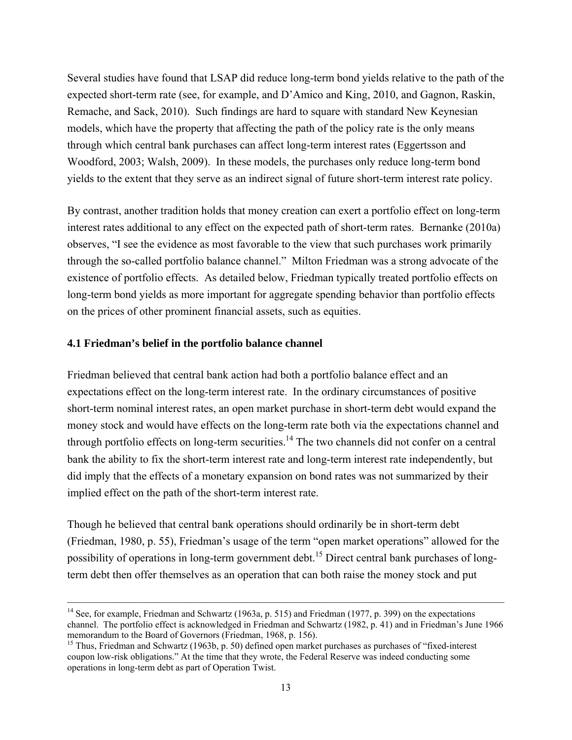Several studies have found that LSAP did reduce long-term bond yields relative to the path of the expected short-term rate (see, for example, and D'Amico and King, 2010, and Gagnon, Raskin, Remache, and Sack, 2010). Such findings are hard to square with standard New Keynesian models, which have the property that affecting the path of the policy rate is the only means through which central bank purchases can affect long-term interest rates (Eggertsson and Woodford, 2003; Walsh, 2009). In these models, the purchases only reduce long-term bond yields to the extent that they serve as an indirect signal of future short-term interest rate policy.

By contrast, another tradition holds that money creation can exert a portfolio effect on long-term interest rates additional to any effect on the expected path of short-term rates. Bernanke (2010a) observes, "I see the evidence as most favorable to the view that such purchases work primarily through the so-called portfolio balance channel." Milton Friedman was a strong advocate of the existence of portfolio effects. As detailed below, Friedman typically treated portfolio effects on long-term bond yields as more important for aggregate spending behavior than portfolio effects on the prices of other prominent financial assets, such as equities.

# **4.1 Friedman's belief in the portfolio balance channel**

Friedman believed that central bank action had both a portfolio balance effect and an expectations effect on the long-term interest rate. In the ordinary circumstances of positive short-term nominal interest rates, an open market purchase in short-term debt would expand the money stock and would have effects on the long-term rate both via the expectations channel and through portfolio effects on long-term securities.<sup>14</sup> The two channels did not confer on a central bank the ability to fix the short-term interest rate and long-term interest rate independently, but did imply that the effects of a monetary expansion on bond rates was not summarized by their implied effect on the path of the short-term interest rate.

Though he believed that central bank operations should ordinarily be in short-term debt (Friedman, 1980, p. 55), Friedman's usage of the term "open market operations" allowed for the possibility of operations in long-term government debt.<sup>15</sup> Direct central bank purchases of longterm debt then offer themselves as an operation that can both raise the money stock and put

<sup>&</sup>lt;sup>14</sup> See, for example, Friedman and Schwartz (1963a, p. 515) and Friedman (1977, p. 399) on the expectations channel. The portfolio effect is acknowledged in Friedman and Schwartz (1982, p. 41) and in Friedman's June 1966 memorandum to the Board of Governors (Friedman, 1968, p. 156).

<sup>&</sup>lt;sup>15</sup> Thus, Friedman and Schwartz (1963b, p. 50) defined open market purchases as purchases of "fixed-interest" coupon low-risk obligations." At the time that they wrote, the Federal Reserve was indeed conducting some operations in long-term debt as part of Operation Twist.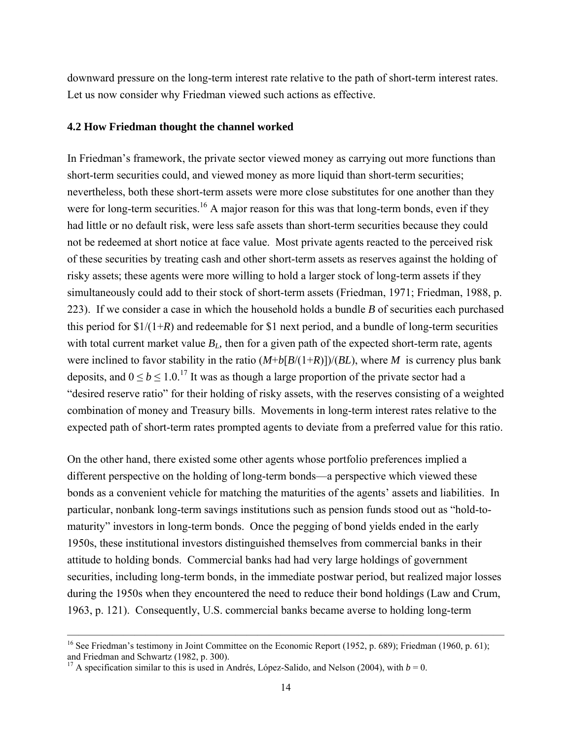downward pressure on the long-term interest rate relative to the path of short-term interest rates. Let us now consider why Friedman viewed such actions as effective.

#### **4.2 How Friedman thought the channel worked**

In Friedman's framework, the private sector viewed money as carrying out more functions than short-term securities could, and viewed money as more liquid than short-term securities; nevertheless, both these short-term assets were more close substitutes for one another than they were for long-term securities.<sup>16</sup> A major reason for this was that long-term bonds, even if they had little or no default risk, were less safe assets than short-term securities because they could not be redeemed at short notice at face value. Most private agents reacted to the perceived risk of these securities by treating cash and other short-term assets as reserves against the holding of risky assets; these agents were more willing to hold a larger stock of long-term assets if they simultaneously could add to their stock of short-term assets (Friedman, 1971; Friedman, 1988, p. 223). If we consider a case in which the household holds a bundle *B* of securities each purchased this period for  $\frac{1}{1+R}$  and redeemable for \$1 next period, and a bundle of long-term securities with total current market value  $B_L$ , then for a given path of the expected short-term rate, agents were inclined to favor stability in the ratio  $(M+b[B/(1+R)])/(BL)$ , where *M* is currency plus bank deposits, and  $0 \le b \le 1.0$ .<sup>17</sup> It was as though a large proportion of the private sector had a "desired reserve ratio" for their holding of risky assets, with the reserves consisting of a weighted combination of money and Treasury bills. Movements in long-term interest rates relative to the expected path of short-term rates prompted agents to deviate from a preferred value for this ratio.

On the other hand, there existed some other agents whose portfolio preferences implied a different perspective on the holding of long-term bonds—a perspective which viewed these bonds as a convenient vehicle for matching the maturities of the agents' assets and liabilities. In particular, nonbank long-term savings institutions such as pension funds stood out as "hold-tomaturity" investors in long-term bonds. Once the pegging of bond yields ended in the early 1950s, these institutional investors distinguished themselves from commercial banks in their attitude to holding bonds. Commercial banks had had very large holdings of government securities, including long-term bonds, in the immediate postwar period, but realized major losses during the 1950s when they encountered the need to reduce their bond holdings (Law and Crum, 1963, p. 121). Consequently, U.S. commercial banks became averse to holding long-term

<sup>&</sup>lt;sup>16</sup> See Friedman's testimony in Joint Committee on the Economic Report (1952, p. 689); Friedman (1960, p. 61); and Friedman and Schwartz (1982, p. 300).

<sup>&</sup>lt;sup>17</sup> A specification similar to this is used in Andrés, López-Salido, and Nelson (2004), with  $b = 0$ .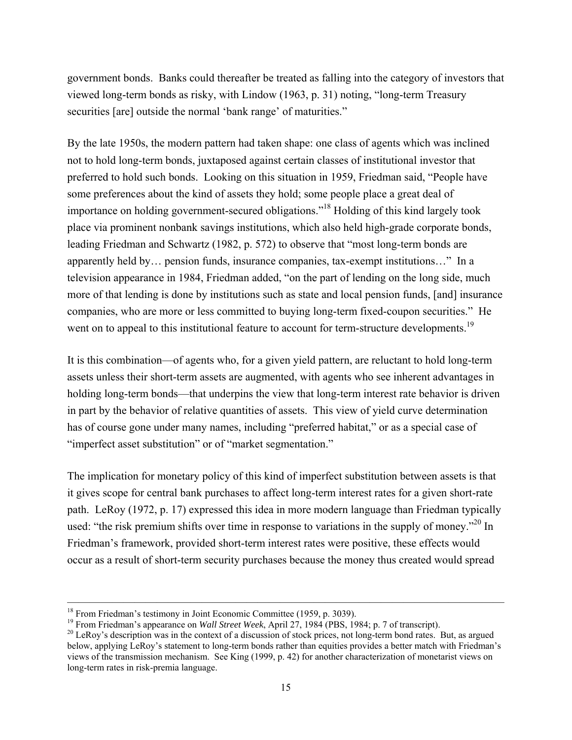government bonds. Banks could thereafter be treated as falling into the category of investors that viewed long-term bonds as risky, with Lindow (1963, p. 31) noting, "long-term Treasury securities [are] outside the normal 'bank range' of maturities."

By the late 1950s, the modern pattern had taken shape: one class of agents which was inclined not to hold long-term bonds, juxtaposed against certain classes of institutional investor that preferred to hold such bonds. Looking on this situation in 1959, Friedman said, "People have some preferences about the kind of assets they hold; some people place a great deal of importance on holding government-secured obligations."18 Holding of this kind largely took place via prominent nonbank savings institutions, which also held high-grade corporate bonds, leading Friedman and Schwartz (1982, p. 572) to observe that "most long-term bonds are apparently held by… pension funds, insurance companies, tax-exempt institutions…" In a television appearance in 1984, Friedman added, "on the part of lending on the long side, much more of that lending is done by institutions such as state and local pension funds, [and] insurance companies, who are more or less committed to buying long-term fixed-coupon securities." He went on to appeal to this institutional feature to account for term-structure developments.<sup>19</sup>

It is this combination—of agents who, for a given yield pattern, are reluctant to hold long-term assets unless their short-term assets are augmented, with agents who see inherent advantages in holding long-term bonds—that underpins the view that long-term interest rate behavior is driven in part by the behavior of relative quantities of assets. This view of yield curve determination has of course gone under many names, including "preferred habitat," or as a special case of "imperfect asset substitution" or of "market segmentation."

The implication for monetary policy of this kind of imperfect substitution between assets is that it gives scope for central bank purchases to affect long-term interest rates for a given short-rate path. LeRoy (1972, p. 17) expressed this idea in more modern language than Friedman typically used: "the risk premium shifts over time in response to variations in the supply of money."<sup>20</sup> In Friedman's framework, provided short-term interest rates were positive, these effects would occur as a result of short-term security purchases because the money thus created would spread

<sup>&</sup>lt;sup>18</sup> From Friedman's testimony in Joint Economic Committee (1959, p. 3039).<br><sup>19</sup> From Friedman's appearance on *Wall Street Week*, April 27, 1984 (PBS, 1984; p. 7 of transcript).<br><sup>20</sup> LeRoy's description was in the contex below, applying LeRoy's statement to long-term bonds rather than equities provides a better match with Friedman's views of the transmission mechanism. See King (1999, p. 42) for another characterization of monetarist views on long-term rates in risk-premia language.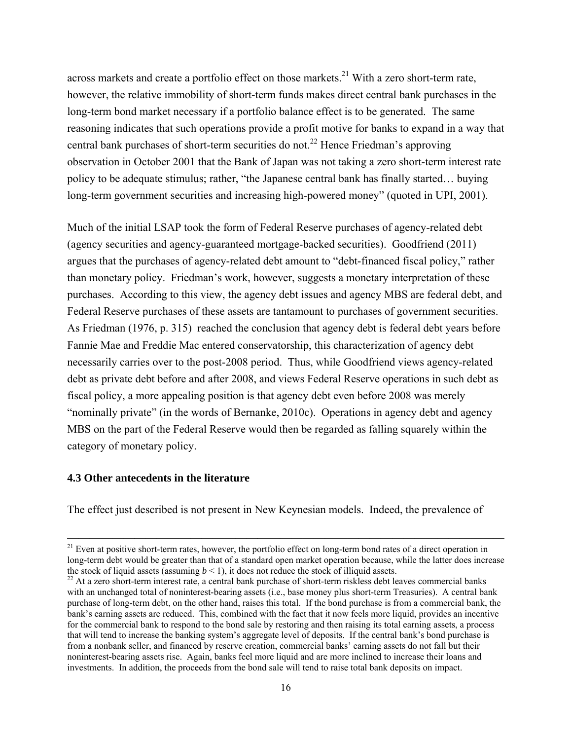across markets and create a portfolio effect on those markets.<sup>21</sup> With a zero short-term rate, however, the relative immobility of short-term funds makes direct central bank purchases in the long-term bond market necessary if a portfolio balance effect is to be generated. The same reasoning indicates that such operations provide a profit motive for banks to expand in a way that central bank purchases of short-term securities do not.<sup>22</sup> Hence Friedman's approving observation in October 2001 that the Bank of Japan was not taking a zero short-term interest rate policy to be adequate stimulus; rather, "the Japanese central bank has finally started… buying long-term government securities and increasing high-powered money" (quoted in UPI, 2001).

Much of the initial LSAP took the form of Federal Reserve purchases of agency-related debt (agency securities and agency-guaranteed mortgage-backed securities). Goodfriend (2011) argues that the purchases of agency-related debt amount to "debt-financed fiscal policy," rather than monetary policy. Friedman's work, however, suggests a monetary interpretation of these purchases. According to this view, the agency debt issues and agency MBS are federal debt, and Federal Reserve purchases of these assets are tantamount to purchases of government securities. As Friedman (1976, p. 315) reached the conclusion that agency debt is federal debt years before Fannie Mae and Freddie Mac entered conservatorship, this characterization of agency debt necessarily carries over to the post-2008 period. Thus, while Goodfriend views agency-related debt as private debt before and after 2008, and views Federal Reserve operations in such debt as fiscal policy, a more appealing position is that agency debt even before 2008 was merely "nominally private" (in the words of Bernanke, 2010c). Operations in agency debt and agency MBS on the part of the Federal Reserve would then be regarded as falling squarely within the category of monetary policy.

# **4.3 Other antecedents in the literature**

The effect just described is not present in New Keynesian models. Indeed, the prevalence of

<sup>&</sup>lt;sup>21</sup> Even at positive short-term rates, however, the portfolio effect on long-term bond rates of a direct operation in long-term debt would be greater than that of a standard open market operation because, while the latter does increase the stock of liquid assets (assuming  $b < 1$ ), it does not reduce the stock of illiquid assets.

<sup>&</sup>lt;sup>22</sup> At a zero short-term interest rate, a central bank purchase of short-term riskless debt leaves commercial banks with an unchanged total of noninterest-bearing assets (i.e., base money plus short-term Treasuries). A central bank purchase of long-term debt, on the other hand, raises this total. If the bond purchase is from a commercial bank, the bank's earning assets are reduced. This, combined with the fact that it now feels more liquid, provides an incentive for the commercial bank to respond to the bond sale by restoring and then raising its total earning assets, a process that will tend to increase the banking system's aggregate level of deposits. If the central bank's bond purchase is from a nonbank seller, and financed by reserve creation, commercial banks' earning assets do not fall but their noninterest-bearing assets rise. Again, banks feel more liquid and are more inclined to increase their loans and investments. In addition, the proceeds from the bond sale will tend to raise total bank deposits on impact.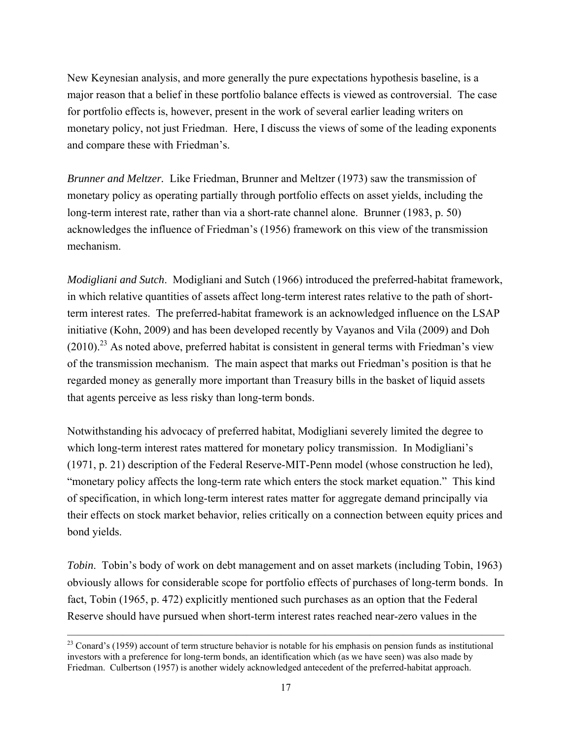New Keynesian analysis, and more generally the pure expectations hypothesis baseline, is a major reason that a belief in these portfolio balance effects is viewed as controversial. The case for portfolio effects is, however, present in the work of several earlier leading writers on monetary policy, not just Friedman. Here, I discuss the views of some of the leading exponents and compare these with Friedman's.

*Brunner and Meltzer.* Like Friedman, Brunner and Meltzer (1973) saw the transmission of monetary policy as operating partially through portfolio effects on asset yields, including the long-term interest rate, rather than via a short-rate channel alone. Brunner (1983, p. 50) acknowledges the influence of Friedman's (1956) framework on this view of the transmission mechanism.

*Modigliani and Sutch*. Modigliani and Sutch (1966) introduced the preferred-habitat framework, in which relative quantities of assets affect long-term interest rates relative to the path of shortterm interest rates. The preferred-habitat framework is an acknowledged influence on the LSAP initiative (Kohn, 2009) and has been developed recently by Vayanos and Vila (2009) and Doh  $(2010)$ <sup>23</sup> As noted above, preferred habitat is consistent in general terms with Friedman's view of the transmission mechanism. The main aspect that marks out Friedman's position is that he regarded money as generally more important than Treasury bills in the basket of liquid assets that agents perceive as less risky than long-term bonds.

Notwithstanding his advocacy of preferred habitat, Modigliani severely limited the degree to which long-term interest rates mattered for monetary policy transmission. In Modigliani's (1971, p. 21) description of the Federal Reserve-MIT-Penn model (whose construction he led), "monetary policy affects the long-term rate which enters the stock market equation." This kind of specification, in which long-term interest rates matter for aggregate demand principally via their effects on stock market behavior, relies critically on a connection between equity prices and bond yields.

*Tobin*. Tobin's body of work on debt management and on asset markets (including Tobin, 1963) obviously allows for considerable scope for portfolio effects of purchases of long-term bonds. In fact, Tobin (1965, p. 472) explicitly mentioned such purchases as an option that the Federal Reserve should have pursued when short-term interest rates reached near-zero values in the

<sup>&</sup>lt;sup>23</sup> Conard's (1959) account of term structure behavior is notable for his emphasis on pension funds as institutional investors with a preference for long-term bonds, an identification which (as we have seen) was also made by Friedman. Culbertson (1957) is another widely acknowledged antecedent of the preferred-habitat approach.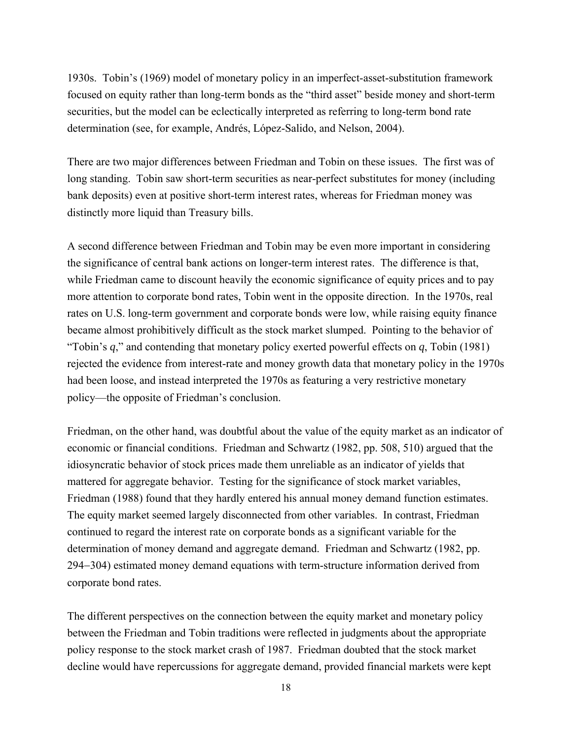1930s. Tobin's (1969) model of monetary policy in an imperfect-asset-substitution framework focused on equity rather than long-term bonds as the "third asset" beside money and short-term securities, but the model can be eclectically interpreted as referring to long-term bond rate determination (see, for example, Andrés, López-Salido, and Nelson, 2004).

There are two major differences between Friedman and Tobin on these issues. The first was of long standing. Tobin saw short-term securities as near-perfect substitutes for money (including bank deposits) even at positive short-term interest rates, whereas for Friedman money was distinctly more liquid than Treasury bills.

A second difference between Friedman and Tobin may be even more important in considering the significance of central bank actions on longer-term interest rates. The difference is that, while Friedman came to discount heavily the economic significance of equity prices and to pay more attention to corporate bond rates, Tobin went in the opposite direction. In the 1970s, real rates on U.S. long-term government and corporate bonds were low, while raising equity finance became almost prohibitively difficult as the stock market slumped. Pointing to the behavior of "Tobin's *q*," and contending that monetary policy exerted powerful effects on *q*, Tobin (1981) rejected the evidence from interest-rate and money growth data that monetary policy in the 1970s had been loose, and instead interpreted the 1970s as featuring a very restrictive monetary policy—the opposite of Friedman's conclusion.

Friedman, on the other hand, was doubtful about the value of the equity market as an indicator of economic or financial conditions. Friedman and Schwartz (1982, pp. 508, 510) argued that the idiosyncratic behavior of stock prices made them unreliable as an indicator of yields that mattered for aggregate behavior. Testing for the significance of stock market variables, Friedman (1988) found that they hardly entered his annual money demand function estimates. The equity market seemed largely disconnected from other variables. In contrast, Friedman continued to regard the interest rate on corporate bonds as a significant variable for the determination of money demand and aggregate demand. Friedman and Schwartz (1982, pp. 294304) estimated money demand equations with term-structure information derived from corporate bond rates.

The different perspectives on the connection between the equity market and monetary policy between the Friedman and Tobin traditions were reflected in judgments about the appropriate policy response to the stock market crash of 1987. Friedman doubted that the stock market decline would have repercussions for aggregate demand, provided financial markets were kept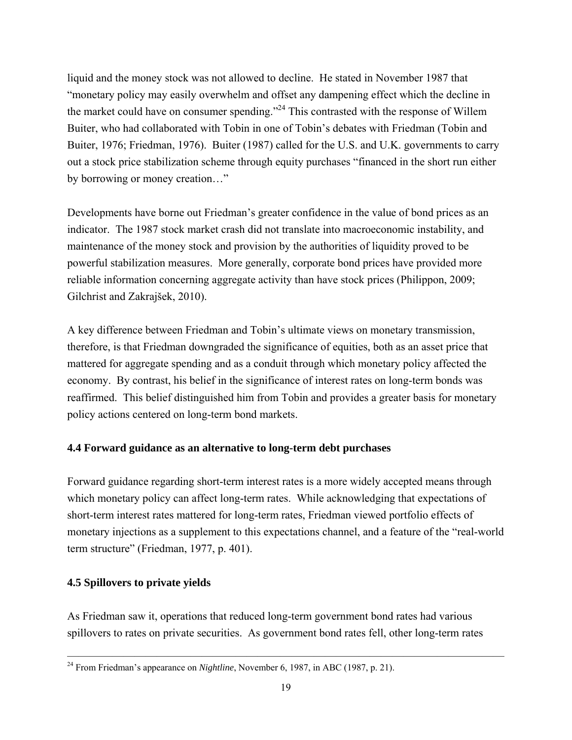liquid and the money stock was not allowed to decline. He stated in November 1987 that "monetary policy may easily overwhelm and offset any dampening effect which the decline in the market could have on consumer spending."<sup>24</sup> This contrasted with the response of Willem Buiter, who had collaborated with Tobin in one of Tobin's debates with Friedman (Tobin and Buiter, 1976; Friedman, 1976). Buiter (1987) called for the U.S. and U.K. governments to carry out a stock price stabilization scheme through equity purchases "financed in the short run either by borrowing or money creation…"

Developments have borne out Friedman's greater confidence in the value of bond prices as an indicator. The 1987 stock market crash did not translate into macroeconomic instability, and maintenance of the money stock and provision by the authorities of liquidity proved to be powerful stabilization measures. More generally, corporate bond prices have provided more reliable information concerning aggregate activity than have stock prices (Philippon, 2009; Gilchrist and Zakrajšek, 2010).

A key difference between Friedman and Tobin's ultimate views on monetary transmission, therefore, is that Friedman downgraded the significance of equities, both as an asset price that mattered for aggregate spending and as a conduit through which monetary policy affected the economy. By contrast, his belief in the significance of interest rates on long-term bonds was reaffirmed. This belief distinguished him from Tobin and provides a greater basis for monetary policy actions centered on long-term bond markets.

# **4.4 Forward guidance as an alternative to long-term debt purchases**

Forward guidance regarding short-term interest rates is a more widely accepted means through which monetary policy can affect long-term rates. While acknowledging that expectations of short-term interest rates mattered for long-term rates, Friedman viewed portfolio effects of monetary injections as a supplement to this expectations channel, and a feature of the "real-world term structure" (Friedman, 1977, p. 401).

# **4.5 Spillovers to private yields**

As Friedman saw it, operations that reduced long-term government bond rates had various spillovers to rates on private securities. As government bond rates fell, other long-term rates

<sup>24</sup> From Friedman's appearance on *Nightline*, November 6, 1987, in ABC (1987, p. 21).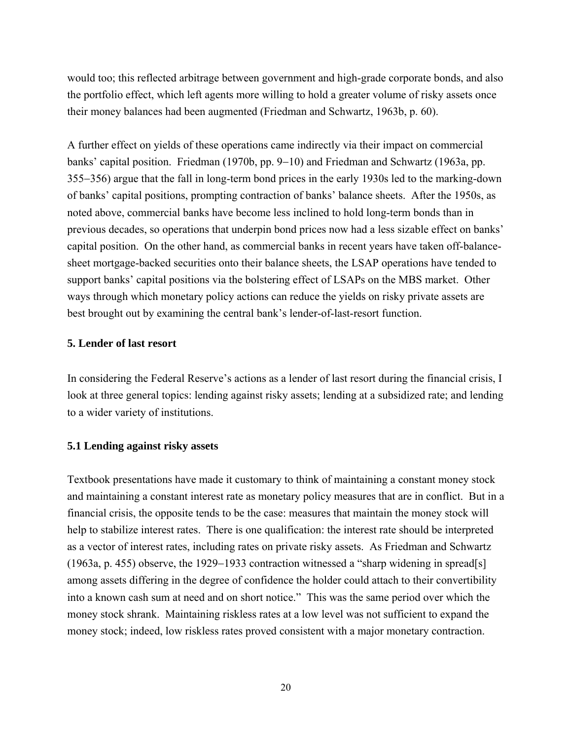would too; this reflected arbitrage between government and high-grade corporate bonds, and also the portfolio effect, which left agents more willing to hold a greater volume of risky assets once their money balances had been augmented (Friedman and Schwartz, 1963b, p. 60).

A further effect on yields of these operations came indirectly via their impact on commercial banks' capital position. Friedman (1970b, pp.  $9-10$ ) and Friedman and Schwartz (1963a, pp. 355356) argue that the fall in long-term bond prices in the early 1930s led to the marking-down of banks' capital positions, prompting contraction of banks' balance sheets. After the 1950s, as noted above, commercial banks have become less inclined to hold long-term bonds than in previous decades, so operations that underpin bond prices now had a less sizable effect on banks' capital position. On the other hand, as commercial banks in recent years have taken off-balancesheet mortgage-backed securities onto their balance sheets, the LSAP operations have tended to support banks' capital positions via the bolstering effect of LSAPs on the MBS market. Other ways through which monetary policy actions can reduce the yields on risky private assets are best brought out by examining the central bank's lender-of-last-resort function.

#### **5. Lender of last resort**

In considering the Federal Reserve's actions as a lender of last resort during the financial crisis, I look at three general topics: lending against risky assets; lending at a subsidized rate; and lending to a wider variety of institutions.

#### **5.1 Lending against risky assets**

Textbook presentations have made it customary to think of maintaining a constant money stock and maintaining a constant interest rate as monetary policy measures that are in conflict. But in a financial crisis, the opposite tends to be the case: measures that maintain the money stock will help to stabilize interest rates. There is one qualification: the interest rate should be interpreted as a vector of interest rates, including rates on private risky assets. As Friedman and Schwartz (1963a, p. 455) observe, the 1929–1933 contraction witnessed a "sharp widening in spread[s] among assets differing in the degree of confidence the holder could attach to their convertibility into a known cash sum at need and on short notice." This was the same period over which the money stock shrank. Maintaining riskless rates at a low level was not sufficient to expand the money stock; indeed, low riskless rates proved consistent with a major monetary contraction.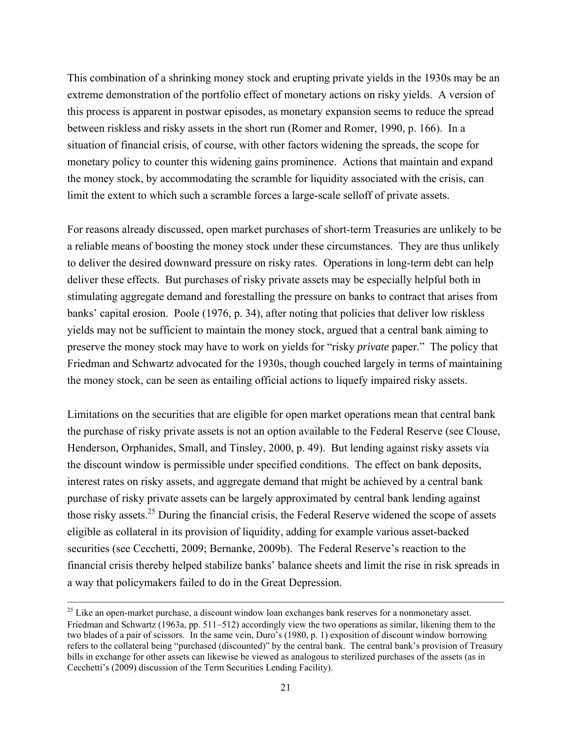This combination of a shrinking money stock and erupting private yields in the 1930s may be an extreme demonstration of the portfolio effect of monetary actions on risky yields. A version of this process is apparent in postwar episodes, as monetary expansion seems to reduce the spread between riskless and risky assets in the short run (Romer and Romer, 1990, p. 166). In a situation of financial crisis, of course, with other factors widening the spreads, the scope for monetary policy to counter this widening gains prominence. Actions that maintain and expand the money stock, by accommodating the scramble for liquidity associated with the crisis, can limit the extent to which such a scramble forces a large-scale selloff of private assets.

For reasons already discussed, open market purchases of short-term Treasuries are unlikely to be a reliable means of boosting the money stock under these circumstances. They are thus unlikely to deliver the desired downward pressure on risky rates. Operations in long-term debt can help deliver these effects. But purchases of risky private assets may be especially helpful both in stimulating aggregate demand and forestalling the pressure on banks to contract that arises from banks' capital erosion. Poole (1976, p. 34), after noting that policies that deliver low riskless yields may not be sufficient to maintain the money stock, argued that a central bank aiming to preserve the money stock may have to work on yields for "risky *private* paper." The policy that Friedman and Schwartz advocated for the 1930s, though couched largely in terms of maintaining the money stock, can be seen as entailing official actions to liquefy impaired risky assets.

Limitations on the securities that are eligible for open market operations mean that central bank the purchase of risky private assets is not an option available to the Federal Reserve (see Clouse, Henderson, Orphanides, Small, and Tinsley, 2000, p. 49). But lending against risky assets via the discount window is permissible under specified conditions. The effect on bank deposits, interest rates on risky assets, and aggregate demand that might be achieved by a central bank purchase of risky private assets can be largely approximated by central bank lending against those risky assets.<sup>25</sup> During the financial crisis, the Federal Reserve widened the scope of assets eligible as collateral in its provision of liquidity, adding for example various asset-backed securities (see Cecchetti, 2009; Bernanke, 2009b). The Federal Reserve's reaction to the financial crisis thereby helped stabilize banks' balance sheets and limit the rise in risk spreads in a way that policymakers failed to do in the Great Depression.

 $^{25}$  Like an open-market purchase, a discount window loan exchanges bank reserves for a nonmonetary asset. Friedman and Schwartz (1963a, pp. 511–512) accordingly view the two operations as similar, likening them to the two blades of a pair of scissors. In the same vein, Duro's (1980, p. 1) exposition of discount window borrowing refers to the collateral being "purchased (discounted)" by the central bank. The central bank's provision of Treasury bills in exchange for other assets can likewise be viewed as analogous to sterilized purchases of the assets (as in Cecchetti's (2009) discussion of the Term Securities Lending Facility).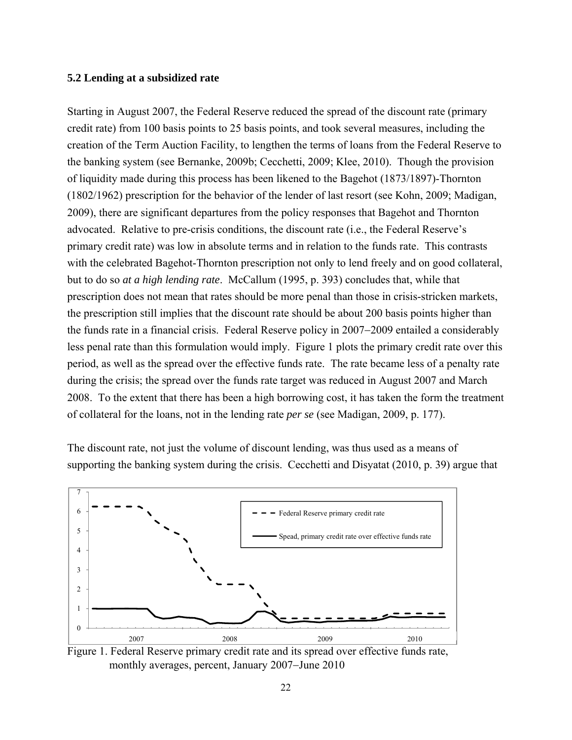#### **5.2 Lending at a subsidized rate**

Starting in August 2007, the Federal Reserve reduced the spread of the discount rate (primary credit rate) from 100 basis points to 25 basis points, and took several measures, including the creation of the Term Auction Facility, to lengthen the terms of loans from the Federal Reserve to the banking system (see Bernanke, 2009b; Cecchetti, 2009; Klee, 2010). Though the provision of liquidity made during this process has been likened to the Bagehot (1873/1897)-Thornton (1802/1962) prescription for the behavior of the lender of last resort (see Kohn, 2009; Madigan, 2009), there are significant departures from the policy responses that Bagehot and Thornton advocated. Relative to pre-crisis conditions, the discount rate (i.e., the Federal Reserve's primary credit rate) was low in absolute terms and in relation to the funds rate. This contrasts with the celebrated Bagehot-Thornton prescription not only to lend freely and on good collateral, but to do so *at a high lending rate*. McCallum (1995, p. 393) concludes that, while that prescription does not mean that rates should be more penal than those in crisis-stricken markets, the prescription still implies that the discount rate should be about 200 basis points higher than the funds rate in a financial crisis. Federal Reserve policy in  $2007-2009$  entailed a considerably less penal rate than this formulation would imply. Figure 1 plots the primary credit rate over this period, as well as the spread over the effective funds rate. The rate became less of a penalty rate during the crisis; the spread over the funds rate target was reduced in August 2007 and March 2008. To the extent that there has been a high borrowing cost, it has taken the form the treatment of collateral for the loans, not in the lending rate *per se* (see Madigan, 2009, p. 177).

The discount rate, not just the volume of discount lending, was thus used as a means of supporting the banking system during the crisis. Cecchetti and Disyatat (2010, p. 39) argue that



Figure 1. Federal Reserve primary credit rate and its spread over effective funds rate, monthly averages, percent, January 2007–June 2010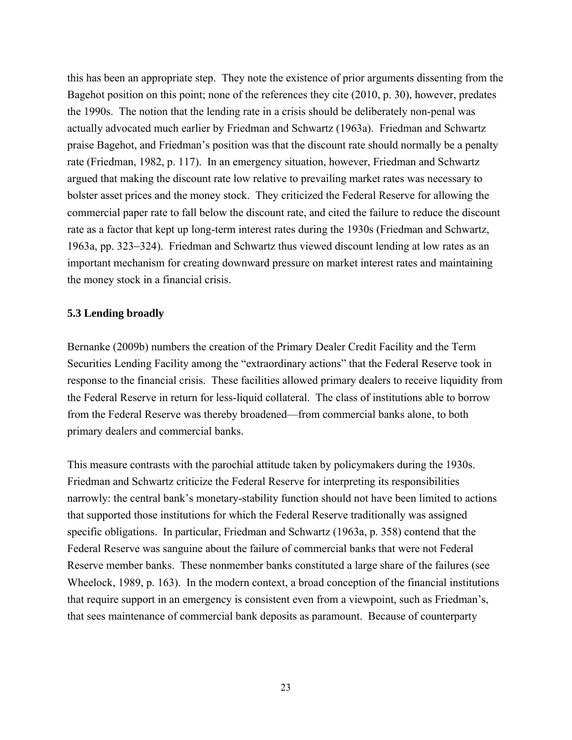this has been an appropriate step. They note the existence of prior arguments dissenting from the Bagehot position on this point; none of the references they cite (2010, p. 30), however, predates the 1990s. The notion that the lending rate in a crisis should be deliberately non-penal was actually advocated much earlier by Friedman and Schwartz (1963a). Friedman and Schwartz praise Bagehot, and Friedman's position was that the discount rate should normally be a penalty rate (Friedman, 1982, p. 117). In an emergency situation, however, Friedman and Schwartz argued that making the discount rate low relative to prevailing market rates was necessary to bolster asset prices and the money stock. They criticized the Federal Reserve for allowing the commercial paper rate to fall below the discount rate, and cited the failure to reduce the discount rate as a factor that kept up long-term interest rates during the 1930s (Friedman and Schwartz, 1963a, pp. 323–324). Friedman and Schwartz thus viewed discount lending at low rates as an important mechanism for creating downward pressure on market interest rates and maintaining the money stock in a financial crisis.

### **5.3 Lending broadly**

Bernanke (2009b) numbers the creation of the Primary Dealer Credit Facility and the Term Securities Lending Facility among the "extraordinary actions" that the Federal Reserve took in response to the financial crisis. These facilities allowed primary dealers to receive liquidity from the Federal Reserve in return for less-liquid collateral. The class of institutions able to borrow from the Federal Reserve was thereby broadened—from commercial banks alone, to both primary dealers and commercial banks.

This measure contrasts with the parochial attitude taken by policymakers during the 1930s. Friedman and Schwartz criticize the Federal Reserve for interpreting its responsibilities narrowly: the central bank's monetary-stability function should not have been limited to actions that supported those institutions for which the Federal Reserve traditionally was assigned specific obligations. In particular, Friedman and Schwartz (1963a, p. 358) contend that the Federal Reserve was sanguine about the failure of commercial banks that were not Federal Reserve member banks. These nonmember banks constituted a large share of the failures (see Wheelock, 1989, p. 163). In the modern context, a broad conception of the financial institutions that require support in an emergency is consistent even from a viewpoint, such as Friedman's, that sees maintenance of commercial bank deposits as paramount. Because of counterparty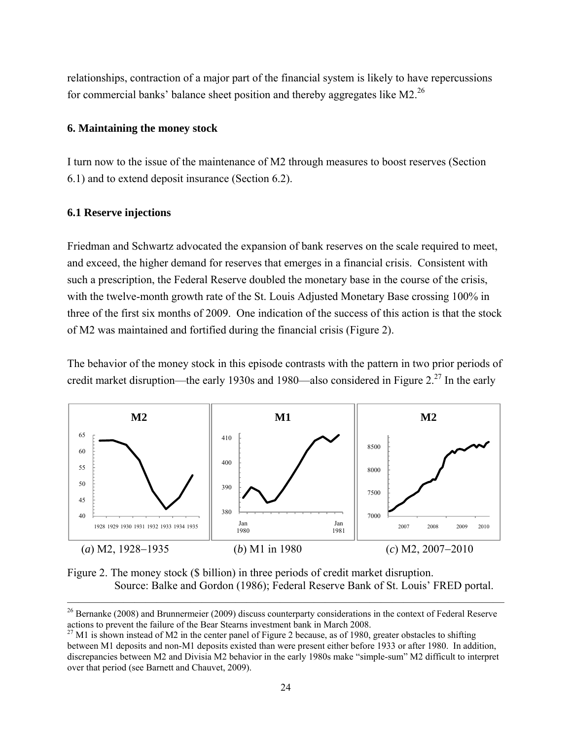relationships, contraction of a major part of the financial system is likely to have repercussions for commercial banks' balance sheet position and thereby aggregates like M2.<sup>26</sup>

### **6. Maintaining the money stock**

I turn now to the issue of the maintenance of M2 through measures to boost reserves (Section 6.1) and to extend deposit insurance (Section 6.2).

### **6.1 Reserve injections**

Friedman and Schwartz advocated the expansion of bank reserves on the scale required to meet, and exceed, the higher demand for reserves that emerges in a financial crisis. Consistent with such a prescription, the Federal Reserve doubled the monetary base in the course of the crisis, with the twelve-month growth rate of the St. Louis Adjusted Monetary Base crossing 100% in three of the first six months of 2009. One indication of the success of this action is that the stock of M2 was maintained and fortified during the financial crisis (Figure 2).

The behavior of the money stock in this episode contrasts with the pattern in two prior periods of credit market disruption—the early 1930s and 1980—also considered in Figure 2.<sup>27</sup> In the early





 $26$  Bernanke (2008) and Brunnermeier (2009) discuss counterparty considerations in the context of Federal Reserve actions to prevent the failure of the Bear Stearns investment bank in March 2008.

 $27$  M1 is shown instead of M2 in the center panel of Figure 2 because, as of 1980, greater obstacles to shifting between M1 deposits and non-M1 deposits existed than were present either before 1933 or after 1980. In addition, discrepancies between M2 and Divisia M2 behavior in the early 1980s make "simple-sum" M2 difficult to interpret over that period (see Barnett and Chauvet, 2009).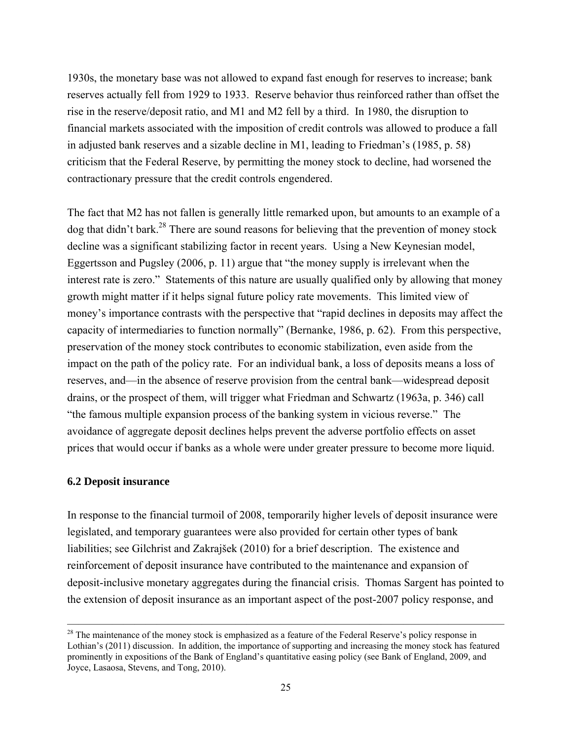1930s, the monetary base was not allowed to expand fast enough for reserves to increase; bank reserves actually fell from 1929 to 1933. Reserve behavior thus reinforced rather than offset the rise in the reserve/deposit ratio, and M1 and M2 fell by a third. In 1980, the disruption to financial markets associated with the imposition of credit controls was allowed to produce a fall in adjusted bank reserves and a sizable decline in M1, leading to Friedman's (1985, p. 58) criticism that the Federal Reserve, by permitting the money stock to decline, had worsened the contractionary pressure that the credit controls engendered.

The fact that M2 has not fallen is generally little remarked upon, but amounts to an example of a dog that didn't bark.<sup>28</sup> There are sound reasons for believing that the prevention of money stock decline was a significant stabilizing factor in recent years. Using a New Keynesian model, Eggertsson and Pugsley (2006, p. 11) argue that "the money supply is irrelevant when the interest rate is zero." Statements of this nature are usually qualified only by allowing that money growth might matter if it helps signal future policy rate movements. This limited view of money's importance contrasts with the perspective that "rapid declines in deposits may affect the capacity of intermediaries to function normally" (Bernanke, 1986, p. 62). From this perspective, preservation of the money stock contributes to economic stabilization, even aside from the impact on the path of the policy rate. For an individual bank, a loss of deposits means a loss of reserves, and—in the absence of reserve provision from the central bank—widespread deposit drains, or the prospect of them, will trigger what Friedman and Schwartz (1963a, p. 346) call "the famous multiple expansion process of the banking system in vicious reverse." The avoidance of aggregate deposit declines helps prevent the adverse portfolio effects on asset prices that would occur if banks as a whole were under greater pressure to become more liquid.

#### **6.2 Deposit insurance**

In response to the financial turmoil of 2008, temporarily higher levels of deposit insurance were legislated, and temporary guarantees were also provided for certain other types of bank liabilities; see Gilchrist and Zakrajšek (2010) for a brief description. The existence and reinforcement of deposit insurance have contributed to the maintenance and expansion of deposit-inclusive monetary aggregates during the financial crisis. Thomas Sargent has pointed to the extension of deposit insurance as an important aspect of the post-2007 policy response, and

<sup>&</sup>lt;sup>28</sup> The maintenance of the money stock is emphasized as a feature of the Federal Reserve's policy response in Lothian's (2011) discussion. In addition, the importance of supporting and increasing the money stock has featured prominently in expositions of the Bank of England's quantitative easing policy (see Bank of England, 2009, and Joyce, Lasaosa, Stevens, and Tong, 2010).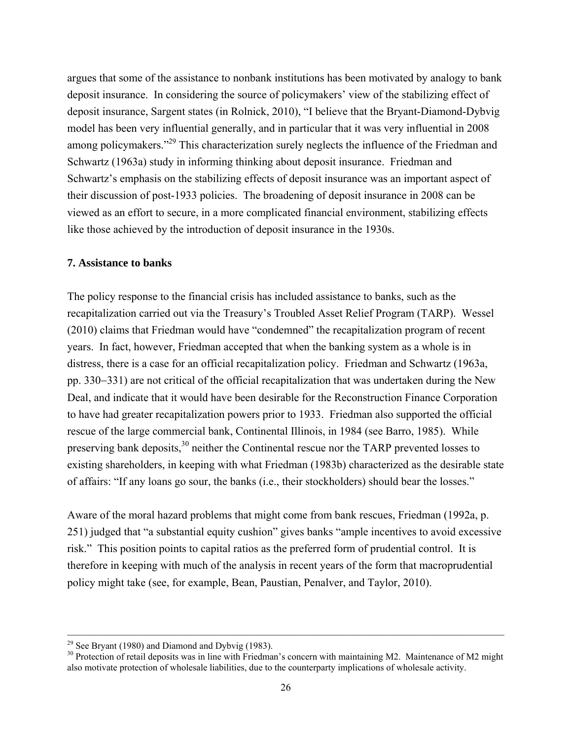argues that some of the assistance to nonbank institutions has been motivated by analogy to bank deposit insurance. In considering the source of policymakers' view of the stabilizing effect of deposit insurance, Sargent states (in Rolnick, 2010), "I believe that the Bryant-Diamond-Dybvig model has been very influential generally, and in particular that it was very influential in 2008 among policymakers."<sup>29</sup> This characterization surely neglects the influence of the Friedman and Schwartz (1963a) study in informing thinking about deposit insurance. Friedman and Schwartz's emphasis on the stabilizing effects of deposit insurance was an important aspect of their discussion of post-1933 policies. The broadening of deposit insurance in 2008 can be viewed as an effort to secure, in a more complicated financial environment, stabilizing effects like those achieved by the introduction of deposit insurance in the 1930s.

#### **7. Assistance to banks**

The policy response to the financial crisis has included assistance to banks, such as the recapitalization carried out via the Treasury's Troubled Asset Relief Program (TARP). Wessel (2010) claims that Friedman would have "condemned" the recapitalization program of recent years. In fact, however, Friedman accepted that when the banking system as a whole is in distress, there is a case for an official recapitalization policy. Friedman and Schwartz (1963a, pp. 330–331) are not critical of the official recapitalization that was undertaken during the New Deal, and indicate that it would have been desirable for the Reconstruction Finance Corporation to have had greater recapitalization powers prior to 1933. Friedman also supported the official rescue of the large commercial bank, Continental Illinois, in 1984 (see Barro, 1985). While preserving bank deposits,<sup>30</sup> neither the Continental rescue nor the TARP prevented losses to existing shareholders, in keeping with what Friedman (1983b) characterized as the desirable state of affairs: "If any loans go sour, the banks (i.e., their stockholders) should bear the losses."

Aware of the moral hazard problems that might come from bank rescues, Friedman (1992a, p. 251) judged that "a substantial equity cushion" gives banks "ample incentives to avoid excessive risk." This position points to capital ratios as the preferred form of prudential control. It is therefore in keeping with much of the analysis in recent years of the form that macroprudential policy might take (see, for example, Bean, Paustian, Penalver, and Taylor, 2010).

<sup>&</sup>lt;sup>29</sup> See Bryant (1980) and Diamond and Dybvig (1983).

<sup>&</sup>lt;sup>30</sup> Protection of retail deposits was in line with Friedman's concern with maintaining M2. Maintenance of M2 might also motivate protection of wholesale liabilities, due to the counterparty implications of wholesale activity.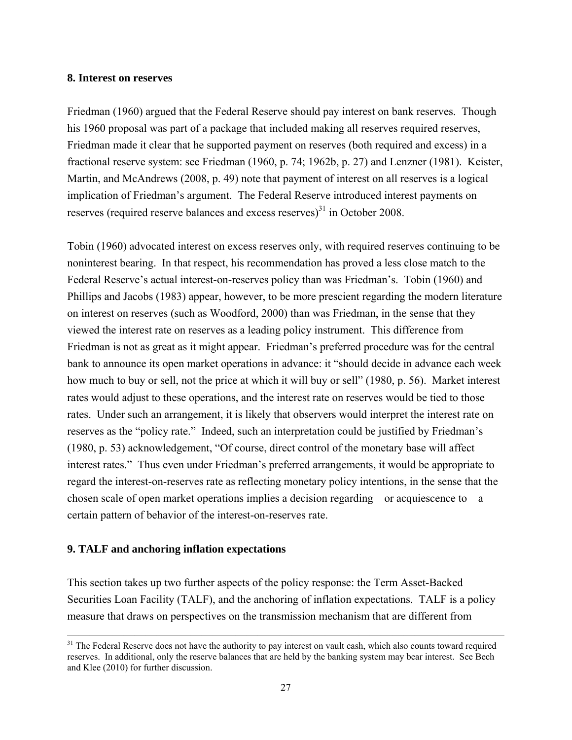#### **8. Interest on reserves**

Friedman (1960) argued that the Federal Reserve should pay interest on bank reserves. Though his 1960 proposal was part of a package that included making all reserves required reserves, Friedman made it clear that he supported payment on reserves (both required and excess) in a fractional reserve system: see Friedman (1960, p. 74; 1962b, p. 27) and Lenzner (1981). Keister, Martin, and McAndrews (2008, p. 49) note that payment of interest on all reserves is a logical implication of Friedman's argument. The Federal Reserve introduced interest payments on reserves (required reserve balances and excess reserves) $31$  in October 2008.

Tobin (1960) advocated interest on excess reserves only, with required reserves continuing to be noninterest bearing. In that respect, his recommendation has proved a less close match to the Federal Reserve's actual interest-on-reserves policy than was Friedman's. Tobin (1960) and Phillips and Jacobs (1983) appear, however, to be more prescient regarding the modern literature on interest on reserves (such as Woodford, 2000) than was Friedman, in the sense that they viewed the interest rate on reserves as a leading policy instrument. This difference from Friedman is not as great as it might appear. Friedman's preferred procedure was for the central bank to announce its open market operations in advance: it "should decide in advance each week how much to buy or sell, not the price at which it will buy or sell" (1980, p. 56). Market interest rates would adjust to these operations, and the interest rate on reserves would be tied to those rates. Under such an arrangement, it is likely that observers would interpret the interest rate on reserves as the "policy rate." Indeed, such an interpretation could be justified by Friedman's (1980, p. 53) acknowledgement, "Of course, direct control of the monetary base will affect interest rates." Thus even under Friedman's preferred arrangements, it would be appropriate to regard the interest-on-reserves rate as reflecting monetary policy intentions, in the sense that the chosen scale of open market operations implies a decision regarding—or acquiescence to—a certain pattern of behavior of the interest-on-reserves rate.

### **9. TALF and anchoring inflation expectations**

This section takes up two further aspects of the policy response: the Term Asset-Backed Securities Loan Facility (TALF), and the anchoring of inflation expectations. TALF is a policy measure that draws on perspectives on the transmission mechanism that are different from

<sup>&</sup>lt;sup>31</sup> The Federal Reserve does not have the authority to pay interest on vault cash, which also counts toward required reserves. In additional, only the reserve balances that are held by the banking system may bear interest. See Bech and Klee (2010) for further discussion.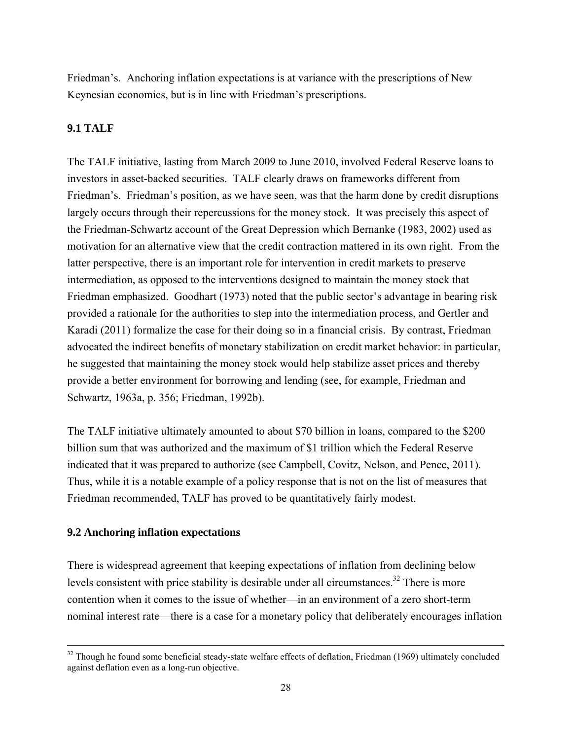Friedman's. Anchoring inflation expectations is at variance with the prescriptions of New Keynesian economics, but is in line with Friedman's prescriptions.

# **9.1 TALF**

The TALF initiative, lasting from March 2009 to June 2010, involved Federal Reserve loans to investors in asset-backed securities. TALF clearly draws on frameworks different from Friedman's. Friedman's position, as we have seen, was that the harm done by credit disruptions largely occurs through their repercussions for the money stock. It was precisely this aspect of the Friedman-Schwartz account of the Great Depression which Bernanke (1983, 2002) used as motivation for an alternative view that the credit contraction mattered in its own right. From the latter perspective, there is an important role for intervention in credit markets to preserve intermediation, as opposed to the interventions designed to maintain the money stock that Friedman emphasized. Goodhart (1973) noted that the public sector's advantage in bearing risk provided a rationale for the authorities to step into the intermediation process, and Gertler and Karadi (2011) formalize the case for their doing so in a financial crisis. By contrast, Friedman advocated the indirect benefits of monetary stabilization on credit market behavior: in particular, he suggested that maintaining the money stock would help stabilize asset prices and thereby provide a better environment for borrowing and lending (see, for example, Friedman and Schwartz, 1963a, p. 356; Friedman, 1992b).

The TALF initiative ultimately amounted to about \$70 billion in loans, compared to the \$200 billion sum that was authorized and the maximum of \$1 trillion which the Federal Reserve indicated that it was prepared to authorize (see Campbell, Covitz, Nelson, and Pence, 2011). Thus, while it is a notable example of a policy response that is not on the list of measures that Friedman recommended, TALF has proved to be quantitatively fairly modest.

# **9.2 Anchoring inflation expectations**

There is widespread agreement that keeping expectations of inflation from declining below levels consistent with price stability is desirable under all circumstances.<sup>32</sup> There is more contention when it comes to the issue of whether—in an environment of a zero short-term nominal interest rate—there is a case for a monetary policy that deliberately encourages inflation

<sup>———————————————————————————————————————</sup>   $32$  Though he found some beneficial steady-state welfare effects of deflation, Friedman (1969) ultimately concluded against deflation even as a long-run objective.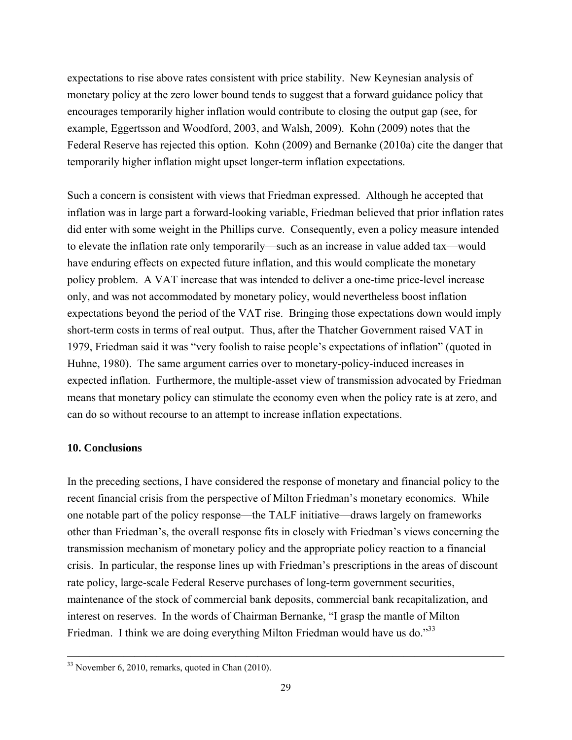expectations to rise above rates consistent with price stability. New Keynesian analysis of monetary policy at the zero lower bound tends to suggest that a forward guidance policy that encourages temporarily higher inflation would contribute to closing the output gap (see, for example, Eggertsson and Woodford, 2003, and Walsh, 2009). Kohn (2009) notes that the Federal Reserve has rejected this option. Kohn (2009) and Bernanke (2010a) cite the danger that temporarily higher inflation might upset longer-term inflation expectations.

Such a concern is consistent with views that Friedman expressed. Although he accepted that inflation was in large part a forward-looking variable, Friedman believed that prior inflation rates did enter with some weight in the Phillips curve. Consequently, even a policy measure intended to elevate the inflation rate only temporarily—such as an increase in value added tax—would have enduring effects on expected future inflation, and this would complicate the monetary policy problem. A VAT increase that was intended to deliver a one-time price-level increase only, and was not accommodated by monetary policy, would nevertheless boost inflation expectations beyond the period of the VAT rise. Bringing those expectations down would imply short-term costs in terms of real output. Thus, after the Thatcher Government raised VAT in 1979, Friedman said it was "very foolish to raise people's expectations of inflation" (quoted in Huhne, 1980). The same argument carries over to monetary-policy-induced increases in expected inflation. Furthermore, the multiple-asset view of transmission advocated by Friedman means that monetary policy can stimulate the economy even when the policy rate is at zero, and can do so without recourse to an attempt to increase inflation expectations.

# **10. Conclusions**

In the preceding sections, I have considered the response of monetary and financial policy to the recent financial crisis from the perspective of Milton Friedman's monetary economics. While one notable part of the policy response—the TALF initiative—draws largely on frameworks other than Friedman's, the overall response fits in closely with Friedman's views concerning the transmission mechanism of monetary policy and the appropriate policy reaction to a financial crisis. In particular, the response lines up with Friedman's prescriptions in the areas of discount rate policy, large-scale Federal Reserve purchases of long-term government securities, maintenance of the stock of commercial bank deposits, commercial bank recapitalization, and interest on reserves. In the words of Chairman Bernanke, "I grasp the mantle of Milton Friedman. I think we are doing everything Milton Friedman would have us do."<sup>33</sup>

<sup>33</sup> November 6, 2010, remarks, quoted in Chan (2010).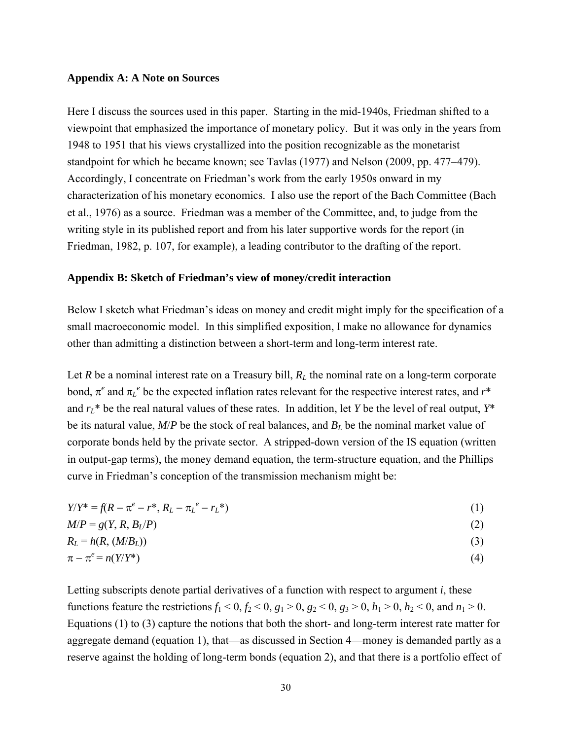#### **Appendix A: A Note on Sources**

Here I discuss the sources used in this paper. Starting in the mid-1940s, Friedman shifted to a viewpoint that emphasized the importance of monetary policy. But it was only in the years from 1948 to 1951 that his views crystallized into the position recognizable as the monetarist standpoint for which he became known; see Tavlas (1977) and Nelson (2009, pp. 477–479). Accordingly, I concentrate on Friedman's work from the early 1950s onward in my characterization of his monetary economics. I also use the report of the Bach Committee (Bach et al., 1976) as a source. Friedman was a member of the Committee, and, to judge from the writing style in its published report and from his later supportive words for the report (in Friedman, 1982, p. 107, for example), a leading contributor to the drafting of the report.

#### **Appendix B: Sketch of Friedman's view of money/credit interaction**

Below I sketch what Friedman's ideas on money and credit might imply for the specification of a small macroeconomic model. In this simplified exposition, I make no allowance for dynamics other than admitting a distinction between a short-term and long-term interest rate.

Let *R* be a nominal interest rate on a Treasury bill,  $R_L$  the nominal rate on a long-term corporate bond,  $\pi^e$  and  $\pi^e$  be the expected inflation rates relevant for the respective interest rates, and  $r^*$ and *rL*\* be the real natural values of these rates. In addition, let *Y* be the level of real output, *Y*\* be its natural value,  $M/P$  be the stock of real balances, and  $B_L$  be the nominal market value of corporate bonds held by the private sector. A stripped-down version of the IS equation (written in output-gap terms), the money demand equation, the term-structure equation, and the Phillips curve in Friedman's conception of the transmission mechanism might be:

$$
Y/Y^* = f(R - \pi^e - r^*, R_L - \pi_L^e - r_L^*)
$$
\n(1)

$$
M/P = g(Y, R, B_L/P) \tag{2}
$$

$$
R_L = h(R, (M/B_L))
$$
\n<sup>(3)</sup>

$$
\pi - \pi^e = n(Y/Y^*)
$$
 (4)

Letting subscripts denote partial derivatives of a function with respect to argument *i*, these functions feature the restrictions  $f_1 < 0, f_2 < 0, g_1 > 0, g_2 < 0, g_3 > 0, h_1 > 0, h_2 < 0$ , and  $n_1 > 0$ . Equations (1) to (3) capture the notions that both the short- and long-term interest rate matter for aggregate demand (equation 1), that—as discussed in Section 4—money is demanded partly as a reserve against the holding of long-term bonds (equation 2), and that there is a portfolio effect of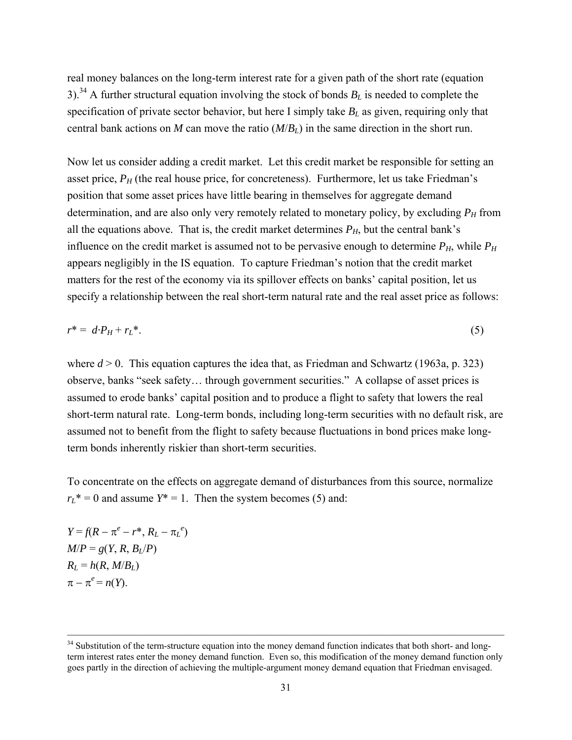real money balances on the long-term interest rate for a given path of the short rate (equation 3).<sup>34</sup> A further structural equation involving the stock of bonds  $B_L$  is needed to complete the specification of private sector behavior, but here I simply take  $B_L$  as given, requiring only that central bank actions on *M* can move the ratio  $(M/B<sub>L</sub>)$  in the same direction in the short run.

Now let us consider adding a credit market. Let this credit market be responsible for setting an asset price,  $P_H$  (the real house price, for concreteness). Furthermore, let us take Friedman's position that some asset prices have little bearing in themselves for aggregate demand determination, and are also only very remotely related to monetary policy, by excluding  $P<sub>H</sub>$  from all the equations above. That is, the credit market determines  $P_H$ , but the central bank's influence on the credit market is assumed not to be pervasive enough to determine  $P_H$ , while  $P_H$ appears negligibly in the IS equation. To capture Friedman's notion that the credit market matters for the rest of the economy via its spillover effects on banks' capital position, let us specify a relationship between the real short-term natural rate and the real asset price as follows:

$$
r^* = d \cdot P_H + r_L^* \tag{5}
$$

where  $d > 0$ . This equation captures the idea that, as Friedman and Schwartz (1963a, p. 323) observe, banks "seek safety… through government securities." A collapse of asset prices is assumed to erode banks' capital position and to produce a flight to safety that lowers the real short-term natural rate. Long-term bonds, including long-term securities with no default risk, are assumed not to benefit from the flight to safety because fluctuations in bond prices make longterm bonds inherently riskier than short-term securities.

To concentrate on the effects on aggregate demand of disturbances from this source, normalize  $r_L^* = 0$  and assume  $Y^* = 1$ . Then the system becomes (5) and:

 $Y = f(R - \pi^e - r^*, R_L - \pi^e)$  $M/P = g(Y, R, B_I/P)$  $R_L = h(R, M/B_L)$  $\pi - \pi^e = n(Y)$ .

<sup>&</sup>lt;sup>34</sup> Substitution of the term-structure equation into the money demand function indicates that both short- and longterm interest rates enter the money demand function. Even so, this modification of the money demand function only goes partly in the direction of achieving the multiple-argument money demand equation that Friedman envisaged.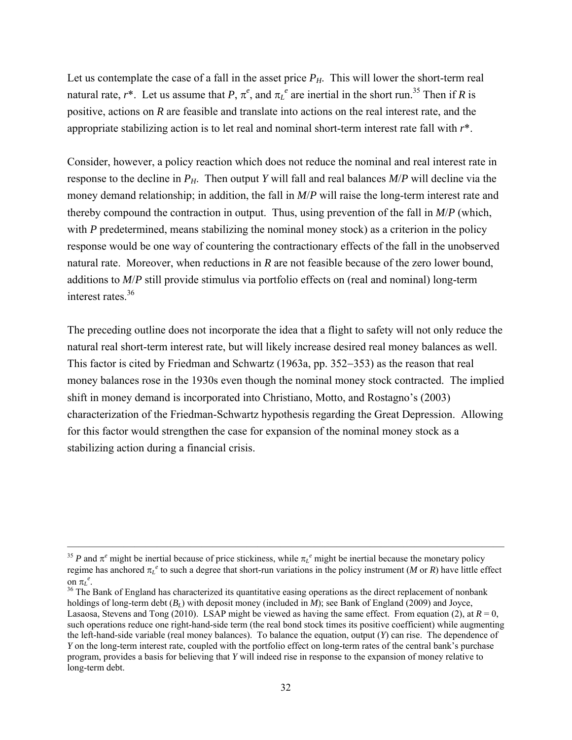Let us contemplate the case of a fall in the asset price  $P_H$ . This will lower the short-term real natural rate,  $r^*$ . Let us assume that  $P$ ,  $\pi^e$ , and  $\pi^e$  are inertial in the short run.<sup>35</sup> Then if R is positive, actions on *R* are feasible and translate into actions on the real interest rate, and the appropriate stabilizing action is to let real and nominal short-term interest rate fall with *r*\*.

Consider, however, a policy reaction which does not reduce the nominal and real interest rate in response to the decline in  $P_H$ . Then output *Y* will fall and real balances  $M/P$  will decline via the money demand relationship; in addition, the fall in *M*/*P* will raise the long-term interest rate and thereby compound the contraction in output. Thus, using prevention of the fall in *M*/*P* (which, with *P* predetermined, means stabilizing the nominal money stock) as a criterion in the policy response would be one way of countering the contractionary effects of the fall in the unobserved natural rate. Moreover, when reductions in *R* are not feasible because of the zero lower bound, additions to *M*/*P* still provide stimulus via portfolio effects on (real and nominal) long-term interest rates  $36$ 

The preceding outline does not incorporate the idea that a flight to safety will not only reduce the natural real short-term interest rate, but will likely increase desired real money balances as well. This factor is cited by Friedman and Schwartz  $(1963a, pp. 352-353)$  as the reason that real money balances rose in the 1930s even though the nominal money stock contracted. The implied shift in money demand is incorporated into Christiano, Motto, and Rostagno's (2003) characterization of the Friedman-Schwartz hypothesis regarding the Great Depression. Allowing for this factor would strengthen the case for expansion of the nominal money stock as a stabilizing action during a financial crisis.

<sup>&</sup>lt;sup>35</sup> *P* and  $\pi^e$  might be inertial because of price stickiness, while  $\pi_L^e$  might be inertial because the monetary policy regime has anchored  $\pi_L^e$  to such a degree that short-run variations in the policy instrument (*M* or *R*) have little effect on  $\pi_L^e$ 

<sup>&</sup>lt;sup>36</sup> The Bank of England has characterized its quantitative easing operations as the direct replacement of nonbank holdings of long-term debt  $(B_L)$  with deposit money (included in *M*); see Bank of England (2009) and Joyce, Lasaosa, Stevens and Tong (2010). LSAP might be viewed as having the same effect. From equation (2), at  $R = 0$ , such operations reduce one right-hand-side term (the real bond stock times its positive coefficient) while augmenting the left-hand-side variable (real money balances). To balance the equation, output (*Y*) can rise. The dependence of *Y* on the long-term interest rate, coupled with the portfolio effect on long-term rates of the central bank's purchase program, provides a basis for believing that *Y* will indeed rise in response to the expansion of money relative to long-term debt.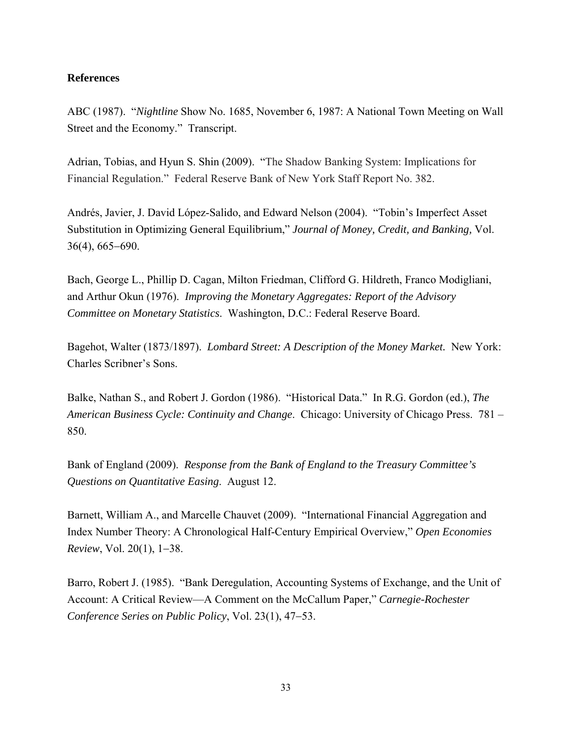# **References**

ABC (1987). "*Nightline* Show No. 1685, November 6, 1987: A National Town Meeting on Wall Street and the Economy." Transcript.

Adrian, Tobias, and Hyun S. Shin (2009). "The Shadow Banking System: Implications for Financial Regulation." Federal Reserve Bank of New York Staff Report No. 382.

Andrés, Javier, J. David López-Salido, and Edward Nelson (2004). "Tobin's Imperfect Asset Substitution in Optimizing General Equilibrium," *Journal of Money, Credit, and Banking,* Vol.  $36(4)$ , 665-690.

Bach, George L., Phillip D. Cagan, Milton Friedman, Clifford G. Hildreth, Franco Modigliani, and Arthur Okun (1976). *Improving the Monetary Aggregates: Report of the Advisory Committee on Monetary Statistics*. Washington, D.C.: Federal Reserve Board.

Bagehot, Walter (1873/1897). *Lombard Street: A Description of the Money Market.* New York: Charles Scribner's Sons.

Balke, Nathan S., and Robert J. Gordon (1986). "Historical Data." In R.G. Gordon (ed.), *The American Business Cycle: Continuity and Change*. Chicago: University of Chicago Press. 781 – 850.

Bank of England (2009). *Response from the Bank of England to the Treasury Committee's Questions on Quantitative Easing*. August 12.

Barnett, William A., and Marcelle Chauvet (2009). "International Financial Aggregation and Index Number Theory: A Chronological Half-Century Empirical Overview," *Open Economies Review*, Vol. 20(1), 1–38.

Barro, Robert J. (1985). "Bank Deregulation, Accounting Systems of Exchange, and the Unit of Account: A Critical Review—A Comment on the McCallum Paper," *Carnegie-Rochester Conference Series on Public Policy, Vol. 23(1), 47–53.*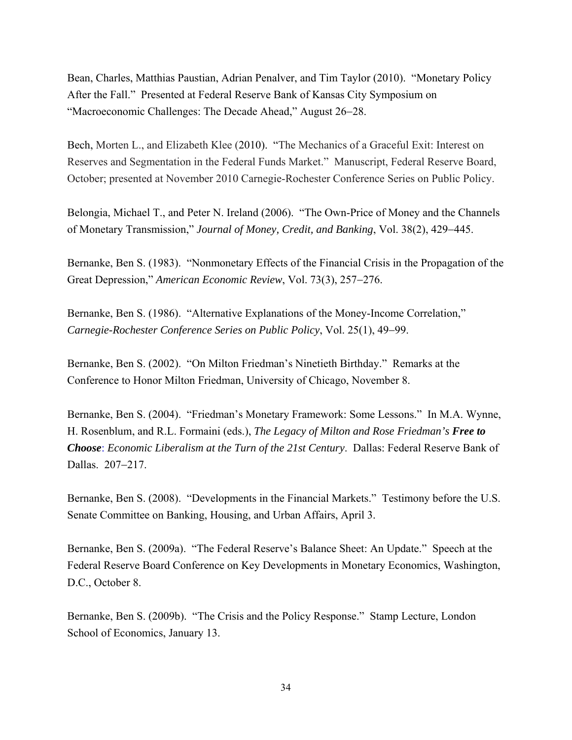Bean, Charles, Matthias Paustian, Adrian Penalver, and Tim Taylor (2010). "Monetary Policy After the Fall." Presented at Federal Reserve Bank of Kansas City Symposium on "Macroeconomic Challenges: The Decade Ahead," August 26–28.

Bech, Morten L., and Elizabeth Klee (2010). "The Mechanics of a Graceful Exit: Interest on Reserves and Segmentation in the Federal Funds Market." Manuscript, Federal Reserve Board, October; presented at November 2010 Carnegie-Rochester Conference Series on Public Policy.

Belongia, Michael T., and Peter N. Ireland (2006). "The Own-Price of Money and the Channels of Monetary Transmission," *Journal of Money, Credit, and Banking*, Vol. 38(2), 429445.

Bernanke, Ben S. (1983). "Nonmonetary Effects of the Financial Crisis in the Propagation of the Great Depression," *American Economic Review*, Vol. 73(3), 257–276.

Bernanke, Ben S. (1986). "Alternative Explanations of the Money-Income Correlation," *Carnegie-Rochester Conference Series on Public Policy, Vol. 25(1), 49–99.* 

Bernanke, Ben S. (2002). "On Milton Friedman's Ninetieth Birthday." Remarks at the Conference to Honor Milton Friedman, University of Chicago, November 8.

Bernanke, Ben S. (2004). "Friedman's Monetary Framework: Some Lessons." In M.A. Wynne, H. Rosenblum, and R.L. Formaini (eds.), *The Legacy of Milton and Rose Friedman's Free to Choose*: *Economic Liberalism at the Turn of the 21st Century*. Dallas: Federal Reserve Bank of Dallas. 207-217.

Bernanke, Ben S. (2008). "Developments in the Financial Markets." Testimony before the U.S. Senate Committee on Banking, Housing, and Urban Affairs, April 3.

Bernanke, Ben S. (2009a). "The Federal Reserve's Balance Sheet: An Update." Speech at the Federal Reserve Board Conference on Key Developments in Monetary Economics, Washington, D.C., October 8.

Bernanke, Ben S. (2009b). "The Crisis and the Policy Response." Stamp Lecture, London School of Economics, January 13.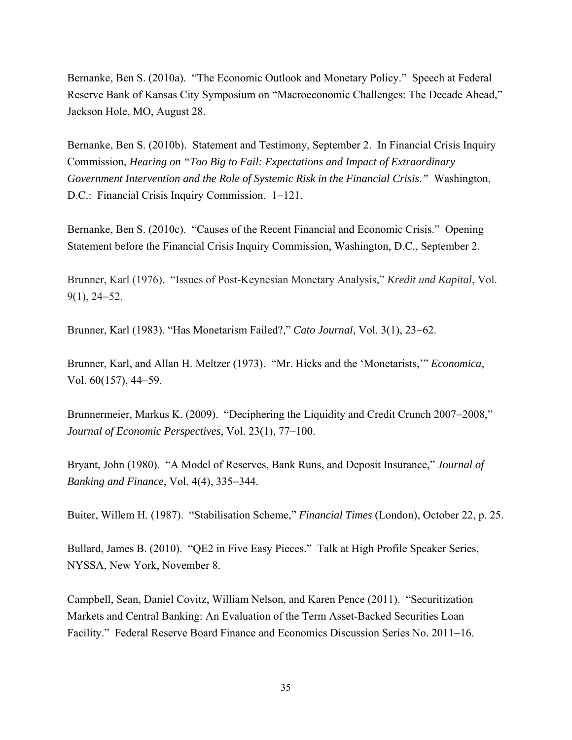Bernanke, Ben S. (2010a). "The Economic Outlook and Monetary Policy." Speech at Federal Reserve Bank of Kansas City Symposium on "Macroeconomic Challenges: The Decade Ahead," Jackson Hole, MO, August 28.

Bernanke, Ben S. (2010b). Statement and Testimony, September 2. In Financial Crisis Inquiry Commission, *Hearing on "Too Big to Fail: Expectations and Impact of Extraordinary Government Intervention and the Role of Systemic Risk in the Financial Crisis*.*"* Washington, D.C.: Financial Crisis Inquiry Commission. 1-121.

Bernanke, Ben S. (2010c). "Causes of the Recent Financial and Economic Crisis." Opening Statement before the Financial Crisis Inquiry Commission, Washington, D.C., September 2.

Brunner, Karl (1976). "Issues of Post-Keynesian Monetary Analysis," *Kredit und Kapital*, Vol.  $9(1)$ ,  $24-52$ .

Brunner, Karl (1983). "Has Monetarism Failed?," *Cato Journal*, Vol. 3(1), 23–62.

Brunner, Karl, and Allan H. Meltzer (1973). "Mr. Hicks and the 'Monetarists,'" *Economica*, Vol.  $60(157)$ , 44-59.

Brunnermeier, Markus K. (2009). "Deciphering the Liquidity and Credit Crunch 2007–2008," *Journal of Economic Perspectives, Vol. 23(1), 77-100.* 

Bryant, John (1980). "A Model of Reserves, Bank Runs, and Deposit Insurance," *Journal of Banking and Finance*, Vol. 4(4), 335–344.

Buiter, Willem H. (1987). "Stabilisation Scheme," *Financial Times* (London), October 22, p. 25.

Bullard, James B. (2010). "QE2 in Five Easy Pieces." Talk at High Profile Speaker Series, NYSSA, New York, November 8.

Campbell, Sean, Daniel Covitz, William Nelson, and Karen Pence (2011). "Securitization Markets and Central Banking: An Evaluation of the Term Asset-Backed Securities Loan Facility." Federal Reserve Board Finance and Economics Discussion Series No. 2011–16.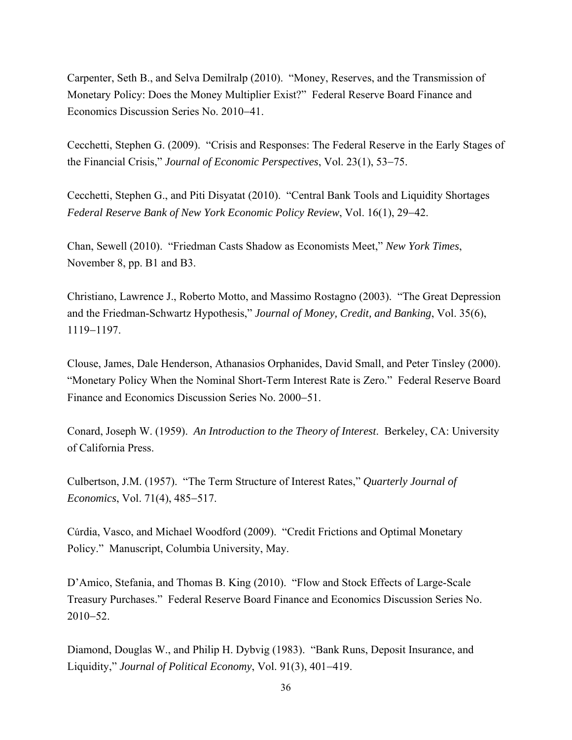Carpenter, Seth B., and Selva Demilralp (2010). "Money, Reserves, and the Transmission of Monetary Policy: Does the Money Multiplier Exist?" Federal Reserve Board Finance and Economics Discussion Series No. 2010–41.

Cecchetti, Stephen G. (2009). "Crisis and Responses: The Federal Reserve in the Early Stages of the Financial Crisis," *Journal of Economic Perspectives*, Vol. 23(1), 53–75.

Cecchetti, Stephen G., and Piti Disyatat (2010). "Central Bank Tools and Liquidity Shortages *Federal Reserve Bank of New York Economic Policy Review, Vol. 16(1), 29–42.* 

Chan, Sewell (2010). "Friedman Casts Shadow as Economists Meet," *New York Times*, November 8, pp. B1 and B3.

Christiano, Lawrence J., Roberto Motto, and Massimo Rostagno (2003). "The Great Depression and the Friedman-Schwartz Hypothesis," *Journal of Money, Credit, and Banking*, Vol. 35(6), 1119-1197.

Clouse, James, Dale Henderson, Athanasios Orphanides, David Small, and Peter Tinsley (2000). "Monetary Policy When the Nominal Short-Term Interest Rate is Zero." Federal Reserve Board Finance and Economics Discussion Series No. 2000–51.

Conard, Joseph W. (1959). *An Introduction to the Theory of Interest*. Berkeley, CA: University of California Press.

Culbertson, J.M. (1957). "The Term Structure of Interest Rates," *Quarterly Journal of Economics*, Vol. 71(4), 485–517.

Cúrdia, Vasco, and Michael Woodford (2009). "Credit Frictions and Optimal Monetary Policy." Manuscript, Columbia University, May.

D'Amico, Stefania, and Thomas B. King (2010). "Flow and Stock Effects of Large-Scale Treasury Purchases." Federal Reserve Board Finance and Economics Discussion Series No.  $2010 - 52$ .

Diamond, Douglas W., and Philip H. Dybvig (1983). "Bank Runs, Deposit Insurance, and Liquidity," *Journal of Political Economy*, Vol. 91(3), 401–419.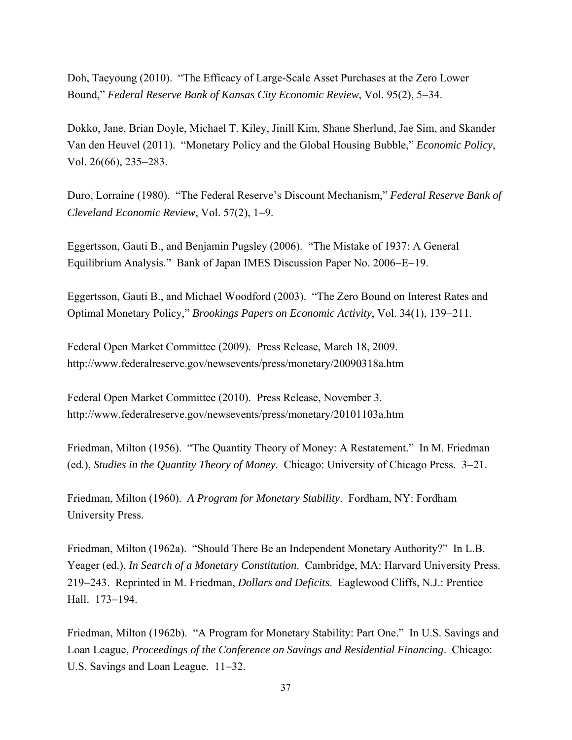Doh, Taeyoung (2010). "The Efficacy of Large-Scale Asset Purchases at the Zero Lower Bound," *Federal Reserve Bank of Kansas City Economic Review*, Vol. 95(2), 5–34.

Dokko, Jane, Brian Doyle, Michael T. Kiley, Jinill Kim, Shane Sherlund, Jae Sim, and Skander Van den Heuvel (2011). "Monetary Policy and the Global Housing Bubble," *Economic Policy*, Vol.  $26(66)$ ,  $235-283$ .

Duro, Lorraine (1980). "The Federal Reserve's Discount Mechanism," *Federal Reserve Bank of Cleveland Economic Review, Vol. 57(2), 1–9.* 

Eggertsson, Gauti B., and Benjamin Pugsley (2006). "The Mistake of 1937: A General Equilibrium Analysis." Bank of Japan IMES Discussion Paper No. 2006–E-19.

Eggertsson, Gauti B., and Michael Woodford (2003). "The Zero Bound on Interest Rates and Optimal Monetary Policy," *Brookings Papers on Economic Activity*, Vol. 34(1), 139–211.

Federal Open Market Committee (2009). Press Release, March 18, 2009. http://www.federalreserve.gov/newsevents/press/monetary/20090318a.htm

Federal Open Market Committee (2010). Press Release, November 3. http://www.federalreserve.gov/newsevents/press/monetary/20101103a.htm

Friedman, Milton (1956). "The Quantity Theory of Money: A Restatement." In M. Friedman (ed.), *Studies in the Quantity Theory of Money.* Chicago: University of Chicago Press. 3-21.

Friedman, Milton (1960). *A Program for Monetary Stability*. Fordham, NY: Fordham University Press.

Friedman, Milton (1962a). "Should There Be an Independent Monetary Authority?" In L.B. Yeager (ed.), *In Search of a Monetary Constitution*. Cambridge, MA: Harvard University Press. 219243. Reprinted in M. Friedman, *Dollars and Deficits*. Eaglewood Cliffs, N.J.: Prentice Hall. 173-194.

Friedman, Milton (1962b). "A Program for Monetary Stability: Part One." In U.S. Savings and Loan League, *Proceedings of the Conference on Savings and Residential Financing*. Chicago: U.S. Savings and Loan League. 11–32.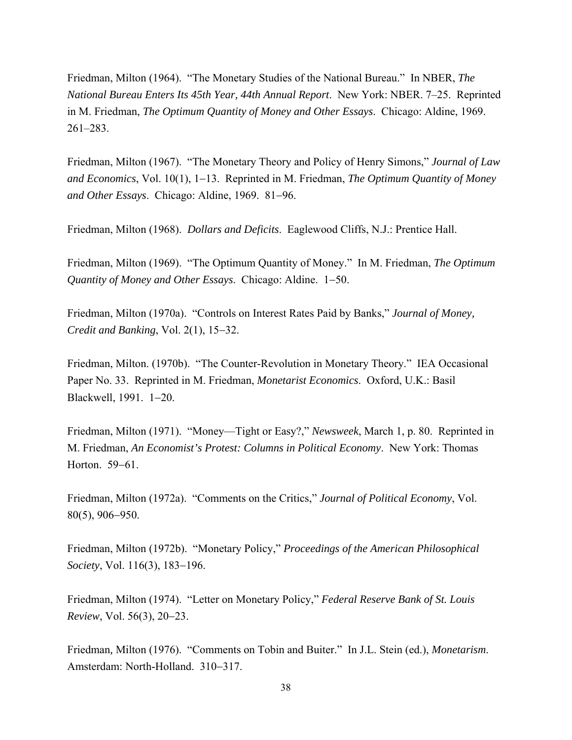Friedman, Milton (1964). "The Monetary Studies of the National Bureau." In NBER, *The National Bureau Enters Its 45th Year, 44th Annual Report*. New York: NBER. 7–25. Reprinted in M. Friedman, *The Optimum Quantity of Money and Other Essays*. Chicago: Aldine, 1969. 261–283.

Friedman, Milton (1967). "The Monetary Theory and Policy of Henry Simons," *Journal of Law*  and Economics, Vol. 10(1), 1–13. Reprinted in M. Friedman, *The Optimum Quantity of Money* and Other Essays. Chicago: Aldine, 1969. 81-96.

Friedman, Milton (1968). *Dollars and Deficits*. Eaglewood Cliffs, N.J.: Prentice Hall.

Friedman, Milton (1969). "The Optimum Quantity of Money." In M. Friedman, *The Optimum Quantity of Money and Other Essays.* Chicago: Aldine. 1–50.

Friedman, Milton (1970a). "Controls on Interest Rates Paid by Banks," *Journal of Money, Credit and Banking*, Vol. 2(1), 15–32.

Friedman, Milton. (1970b). "The Counter-Revolution in Monetary Theory." IEA Occasional Paper No. 33. Reprinted in M. Friedman, *Monetarist Economics*. Oxford, U.K.: Basil Blackwell, 1991. 1-20.

Friedman, Milton (1971). "Money—Tight or Easy?," *Newsweek*, March 1, p. 80. Reprinted in M. Friedman, *An Economist's Protest: Columns in Political Economy*. New York: Thomas Horton.  $59-61$ .

Friedman, Milton (1972a). "Comments on the Critics," *Journal of Political Economy*, Vol.  $80(5)$ ,  $906-950$ .

Friedman, Milton (1972b). "Monetary Policy," *Proceedings of the American Philosophical Society*, *Vol.* 116(3), 183-196.

Friedman, Milton (1974). "Letter on Monetary Policy," *Federal Reserve Bank of St. Louis Review*, Vol. 56(3), 20–23.

Friedman*,* Milton (1976). "Comments on Tobin and Buiter." In J.L. Stein (ed.), *Monetarism*. Amsterdam: North-Holland. 310-317.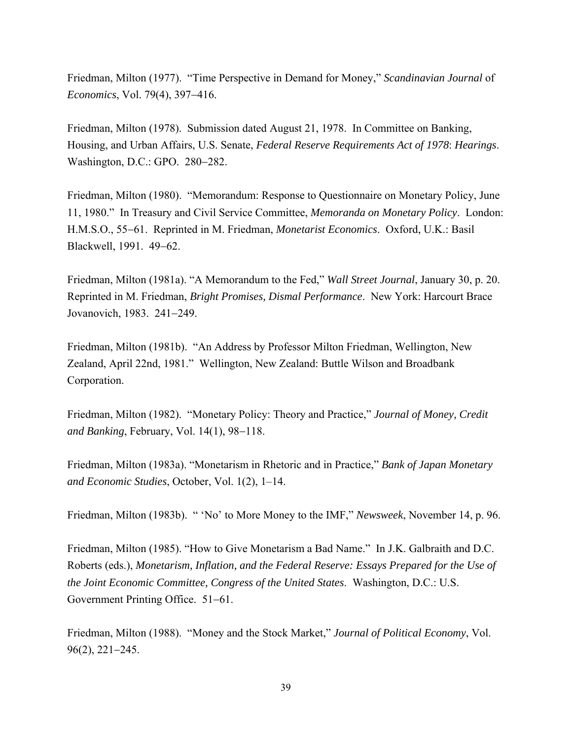Friedman, Milton (1977). "Time Perspective in Demand for Money," *Scandinavian Journal* of *Economics*, Vol. 79(4), 397-416.

Friedman, Milton (1978). Submission dated August 21, 1978. In Committee on Banking, Housing, and Urban Affairs, U.S. Senate, *Federal Reserve Requirements Act of 1978*: *Hearings*. Washington, D.C.: GPO. 280-282.

Friedman, Milton (1980). "Memorandum: Response to Questionnaire on Monetary Policy, June 11, 1980." In Treasury and Civil Service Committee, *Memoranda on Monetary Policy*. London: H.M.S.O., 55–61. Reprinted in M. Friedman, *Monetarist Economics*. Oxford, U.K.: Basil Blackwell, 1991. 49–62.

Friedman, Milton (1981a). "A Memorandum to the Fed," *Wall Street Journal*, January 30, p. 20. Reprinted in M. Friedman, *Bright Promises, Dismal Performance*. New York: Harcourt Brace Jovanovich, 1983. 241-249.

Friedman, Milton (1981b). "An Address by Professor Milton Friedman, Wellington, New Zealand, April 22nd, 1981." Wellington, New Zealand: Buttle Wilson and Broadbank Corporation.

Friedman, Milton (1982). "Monetary Policy: Theory and Practice," *Journal of Money, Credit and Banking*, February, Vol. 14(1), 98-118.

Friedman, Milton (1983a). "Monetarism in Rhetoric and in Practice," *Bank of Japan Monetary and Economic Studies*, October, Vol. 1(2), 1–14.

Friedman, Milton (1983b). " 'No' to More Money to the IMF," *Newsweek*, November 14, p. 96.

Friedman, Milton (1985). "How to Give Monetarism a Bad Name." In J.K. Galbraith and D.C. Roberts (eds.), *Monetarism, Inflation, and the Federal Reserve: Essays Prepared for the Use of the Joint Economic Committee, Congress of the United States*. Washington, D.C.: U.S. Government Printing Office. 51–61.

Friedman, Milton (1988). "Money and the Stock Market," *Journal of Political Economy*, Vol.  $96(2)$ ,  $221-245$ .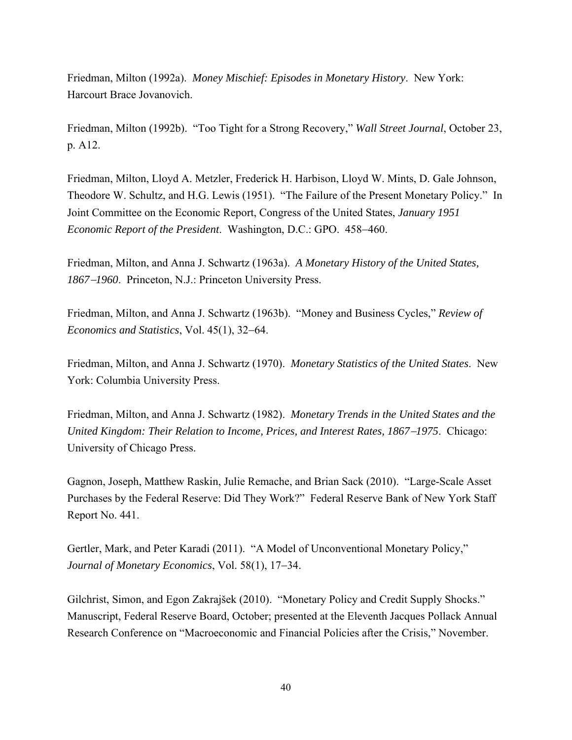Friedman, Milton (1992a). *Money Mischief: Episodes in Monetary History*. New York: Harcourt Brace Jovanovich.

Friedman, Milton (1992b). "Too Tight for a Strong Recovery," *Wall Street Journal*, October 23, p. A12.

Friedman, Milton, Lloyd A. Metzler, Frederick H. Harbison, Lloyd W. Mints, D. Gale Johnson, Theodore W. Schultz, and H.G. Lewis (1951). "The Failure of the Present Monetary Policy." In Joint Committee on the Economic Report, Congress of the United States, *January 1951 Economic Report of the President.* Washington, D.C.: GPO. 458-460.

Friedman, Milton, and Anna J. Schwartz (1963a). *A Monetary History of the United States, 18671960*. Princeton, N.J.: Princeton University Press.

Friedman, Milton, and Anna J. Schwartz (1963b). "Money and Business Cycles," *Review of Economics and Statistics*, Vol. 45(1), 32–64.

Friedman, Milton, and Anna J. Schwartz (1970). *Monetary Statistics of the United States*. New York: Columbia University Press.

Friedman, Milton, and Anna J. Schwartz (1982). *Monetary Trends in the United States and the United Kingdom: Their Relation to Income, Prices, and Interest Rates, 1867–1975. Chicago:* University of Chicago Press.

Gagnon, Joseph, Matthew Raskin, Julie Remache, and Brian Sack (2010). "Large-Scale Asset Purchases by the Federal Reserve: Did They Work?" Federal Reserve Bank of New York Staff Report No. 441.

Gertler, Mark, and Peter Karadi (2011). "A Model of Unconventional Monetary Policy," Journal of Monetary Economics, Vol. 58(1), 17-34.

Gilchrist, Simon, and Egon Zakrajšek (2010). "Monetary Policy and Credit Supply Shocks." Manuscript, Federal Reserve Board, October; presented at the Eleventh Jacques Pollack Annual Research Conference on "Macroeconomic and Financial Policies after the Crisis," November.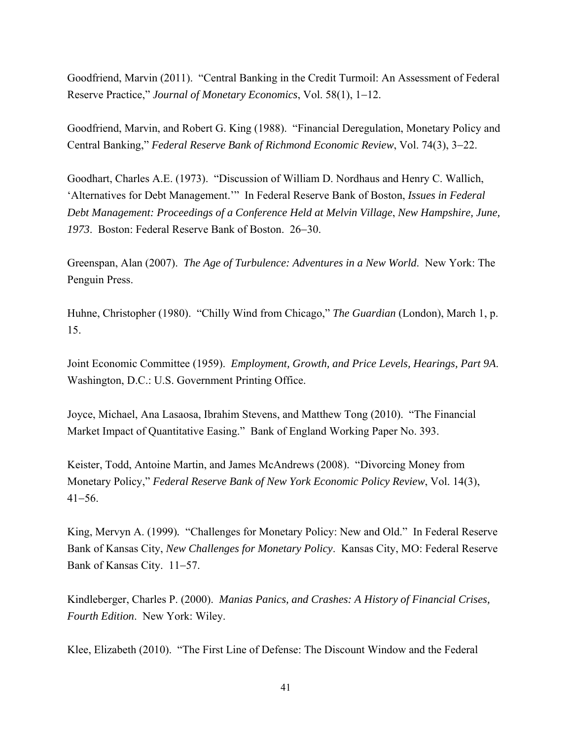Goodfriend, Marvin (2011). "Central Banking in the Credit Turmoil: An Assessment of Federal Reserve Practice," *Journal of Monetary Economics*, Vol. 58(1), 1–12.

Goodfriend, Marvin, and Robert G. King (1988). "Financial Deregulation, Monetary Policy and Central Banking," *Federal Reserve Bank of Richmond Economic Review*, Vol. 74(3), 3–22.

Goodhart, Charles A.E. (1973). "Discussion of William D. Nordhaus and Henry C. Wallich, 'Alternatives for Debt Management.'" In Federal Reserve Bank of Boston, *Issues in Federal Debt Management: Proceedings of a Conference Held at Melvin Village*, *New Hampshire, June, 1973.* Boston: Federal Reserve Bank of Boston. 26–30.

Greenspan, Alan (2007). *The Age of Turbulence: Adventures in a New World*. New York: The Penguin Press.

Huhne, Christopher (1980). "Chilly Wind from Chicago," *The Guardian* (London), March 1, p. 15.

Joint Economic Committee (1959). *Employment, Growth, and Price Levels, Hearings, Part 9A*. Washington, D.C.: U.S. Government Printing Office.

Joyce, Michael, Ana Lasaosa, Ibrahim Stevens, and Matthew Tong (2010). "The Financial Market Impact of Quantitative Easing." Bank of England Working Paper No. 393.

Keister, Todd, Antoine Martin, and James McAndrews (2008). "Divorcing Money from Monetary Policy," *Federal Reserve Bank of New York Economic Policy Review*, Vol. 14(3),  $41 - 56$ .

King, Mervyn A. (1999)*.* "Challenges for Monetary Policy: New and Old." In Federal Reserve Bank of Kansas City, *New Challenges for Monetary Policy*. Kansas City, MO: Federal Reserve Bank of Kansas City. 11-57.

Kindleberger, Charles P. (2000). *Manias Panics, and Crashes: A History of Financial Crises, Fourth Edition*. New York: Wiley.

Klee, Elizabeth (2010). "The First Line of Defense: The Discount Window and the Federal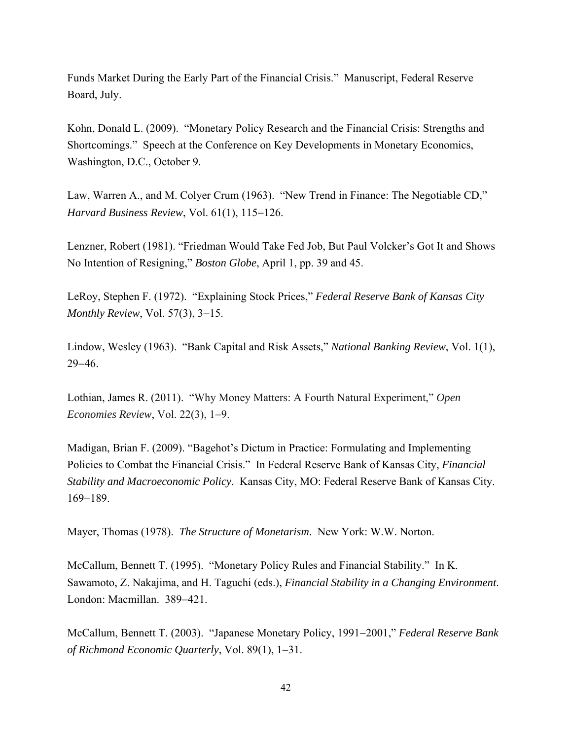Funds Market During the Early Part of the Financial Crisis." Manuscript, Federal Reserve Board, July.

Kohn, Donald L. (2009). "Monetary Policy Research and the Financial Crisis: Strengths and Shortcomings." Speech at the Conference on Key Developments in Monetary Economics, Washington, D.C., October 9.

Law, Warren A., and M. Colyer Crum (1963). "New Trend in Finance: The Negotiable CD," *Harvard Business Review, Vol. 61(1), 115-126.* 

Lenzner, Robert (1981). "Friedman Would Take Fed Job, But Paul Volcker's Got It and Shows No Intention of Resigning," *Boston Globe*, April 1, pp. 39 and 45.

LeRoy, Stephen F. (1972). "Explaining Stock Prices," *Federal Reserve Bank of Kansas City Monthly Review, Vol. 57(3), 3-15.* 

Lindow, Wesley (1963). "Bank Capital and Risk Assets," *National Banking Review*, Vol. 1(1),  $29 - 46$ .

Lothian, James R. (2011). "Why Money Matters: A Fourth Natural Experiment," *Open Economies Review*, Vol. 22(3), 1–9.

Madigan, Brian F. (2009). "Bagehot's Dictum in Practice: Formulating and Implementing Policies to Combat the Financial Crisis." In Federal Reserve Bank of Kansas City, *Financial Stability and Macroeconomic Policy*. Kansas City, MO: Federal Reserve Bank of Kansas City. 169-189.

Mayer, Thomas (1978). *The Structure of Monetarism*. New York: W.W. Norton.

McCallum, Bennett T. (1995). "Monetary Policy Rules and Financial Stability." In K. Sawamoto, Z. Nakajima, and H. Taguchi (eds.), *Financial Stability in a Changing Environment*. London: Macmillan. 389-421.

McCallum, Bennett T. (2003). "Japanese Monetary Policy, 1991–2001," *Federal Reserve Bank of Richmond Economic Quarterly, Vol. 89(1), 1-31.*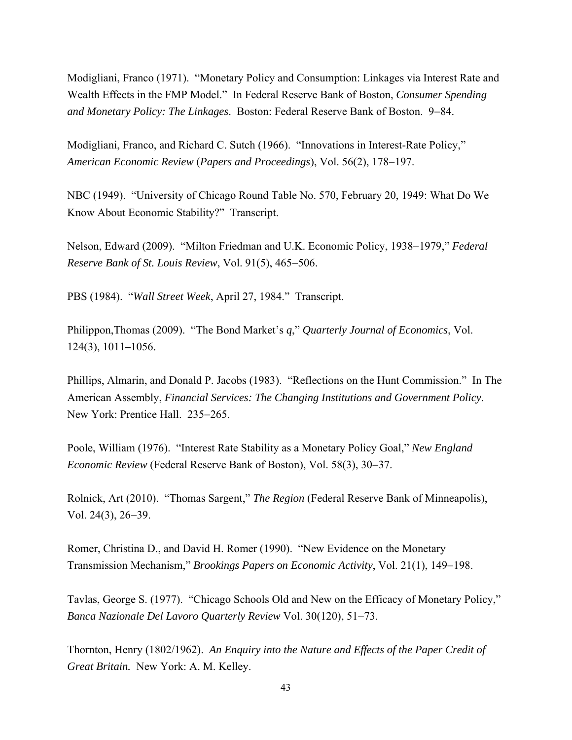Modigliani, Franco (1971). "Monetary Policy and Consumption: Linkages via Interest Rate and Wealth Effects in the FMP Model." In Federal Reserve Bank of Boston, *Consumer Spending*  and Monetary Policy: The Linkages. Boston: Federal Reserve Bank of Boston. 9–84.

Modigliani, Franco, and Richard C. Sutch (1966). "Innovations in Interest-Rate Policy," *American Economic Review (Papers and Proceedings), Vol. 56(2), 178–197.* 

NBC (1949). "University of Chicago Round Table No. 570, February 20, 1949: What Do We Know About Economic Stability?" Transcript.

Nelson, Edward (2009). "Milton Friedman and U.K. Economic Policy, 1938–1979," *Federal Reserve Bank of St. Louis Review, Vol. 91(5), 465–506.* 

PBS (1984). "*Wall Street Week*, April 27, 1984." Transcript.

Philippon,Thomas (2009). "The Bond Market's *q*," *Quarterly Journal of Economics*, Vol. 124(3), 1011–1056.

Phillips, Almarin, and Donald P. Jacobs (1983). "Reflections on the Hunt Commission." In The American Assembly, *Financial Services: The Changing Institutions and Government Policy*. New York: Prentice Hall. 235-265.

Poole, William (1976). "Interest Rate Stability as a Monetary Policy Goal," *New England Economic Review* (Federal Reserve Bank of Boston), Vol. 58(3), 30–37.

Rolnick, Art (2010). "Thomas Sargent," *The Region* (Federal Reserve Bank of Minneapolis), Vol.  $24(3)$ ,  $26-39$ .

Romer, Christina D., and David H. Romer (1990). "New Evidence on the Monetary Transmission Mechanism," *Brookings Papers on Economic Activity*, Vol. 21(1), 149–198.

Tavlas, George S. (1977). "Chicago Schools Old and New on the Efficacy of Monetary Policy," *Banca Nazionale Del Lavoro Quarterly Review Vol. 30(120), 51-73.* 

Thornton, Henry (1802/1962). *An Enquiry into the Nature and Effects of the Paper Credit of Great Britain.* New York: A. M. Kelley.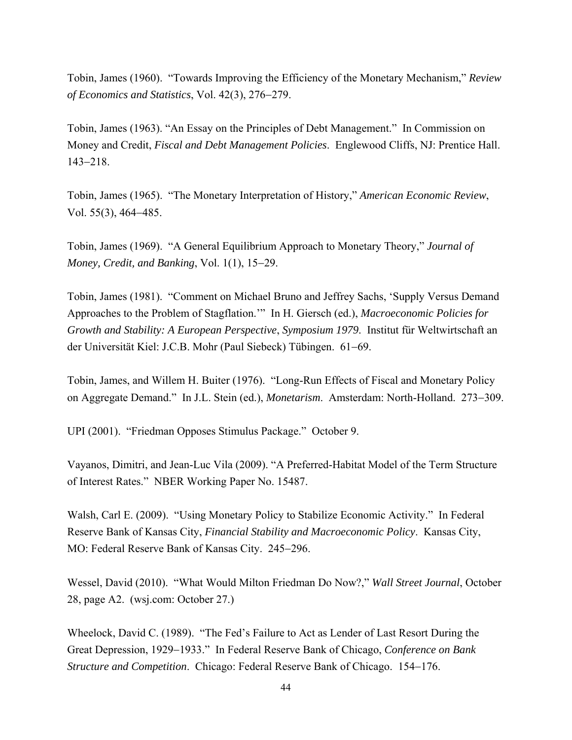Tobin, James (1960). "Towards Improving the Efficiency of the Monetary Mechanism," *Review of Economics and Statistics*, Vol. 42(3), 276–279.

Tobin, James (1963). "An Essay on the Principles of Debt Management." In Commission on Money and Credit, *Fiscal and Debt Management Policies*. Englewood Cliffs, NJ: Prentice Hall.  $143 - 218$ .

Tobin, James (1965). "The Monetary Interpretation of History," *American Economic Review*, Vol.  $55(3)$ ,  $464-485$ .

Tobin, James (1969). "A General Equilibrium Approach to Monetary Theory," *Journal of Money, Credit, and Banking, Vol. 1(1), 15–29.* 

Tobin, James (1981). "Comment on Michael Bruno and Jeffrey Sachs, 'Supply Versus Demand Approaches to the Problem of Stagflation.'" In H. Giersch (ed.), *Macroeconomic Policies for Growth and Stability: A European Perspective*, *Symposium 1979*. Institut für Weltwirtschaft an der Universität Kiel: J.C.B. Mohr (Paul Siebeck) Tübingen. 61–69.

Tobin, James, and Willem H. Buiter (1976). "Long-Run Effects of Fiscal and Monetary Policy on Aggregate Demand." In J.L. Stein (ed.), *Monetarism*. Amsterdam: North-Holland. 273–309.

UPI (2001). "Friedman Opposes Stimulus Package." October 9.

Vayanos, Dimitri, and Jean-Luc Vila (2009). "A Preferred-Habitat Model of the Term Structure of Interest Rates." NBER Working Paper No. 15487.

Walsh, Carl E. (2009). "Using Monetary Policy to Stabilize Economic Activity." In Federal Reserve Bank of Kansas City, *Financial Stability and Macroeconomic Policy*. Kansas City, MO: Federal Reserve Bank of Kansas City. 245-296.

Wessel, David (2010). "What Would Milton Friedman Do Now?," *Wall Street Journal*, October 28, page A2. (wsj.com: October 27.)

Wheelock, David C. (1989). "The Fed's Failure to Act as Lender of Last Resort During the Great Depression, 1929–1933." In Federal Reserve Bank of Chicago, *Conference on Bank Structure and Competition.* Chicago: Federal Reserve Bank of Chicago. 154–176.